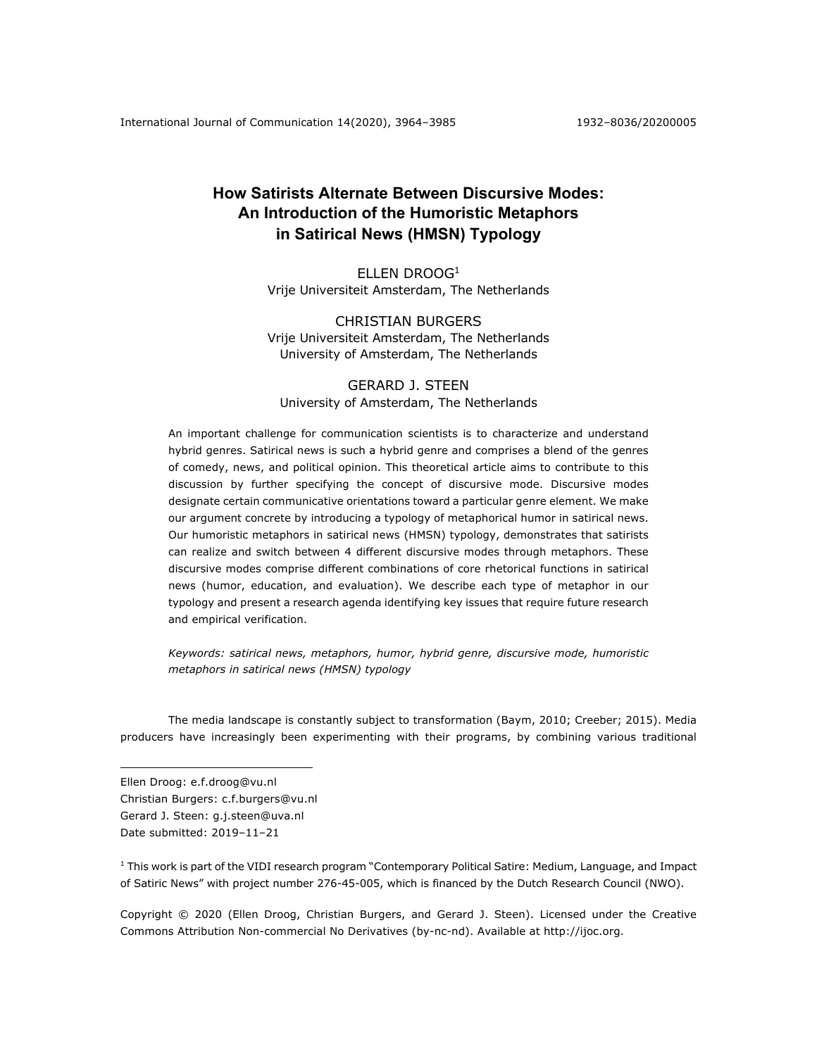# **How Satirists Alternate Between Discursive Modes: An Introduction of the Humoristic Metaphors in Satirical News (HMSN) Typology**

ELLEN DROOG1 Vrije Universiteit Amsterdam, The Netherlands

# CHRISTIAN BURGERS Vrije Universiteit Amsterdam, The Netherlands University of Amsterdam, The Netherlands

# GERARD J. STEEN University of Amsterdam, The Netherlands

An important challenge for communication scientists is to characterize and understand hybrid genres. Satirical news is such a hybrid genre and comprises a blend of the genres of comedy, news, and political opinion. This theoretical article aims to contribute to this discussion by further specifying the concept of discursive mode. Discursive modes designate certain communicative orientations toward a particular genre element. We make our argument concrete by introducing a typology of metaphorical humor in satirical news. Our humoristic metaphors in satirical news (HMSN) typology, demonstrates that satirists can realize and switch between 4 different discursive modes through metaphors. These discursive modes comprise different combinations of core rhetorical functions in satirical news (humor, education, and evaluation). We describe each type of metaphor in our typology and present a research agenda identifying key issues that require future research and empirical verification.

*Keywords: satirical news, metaphors, humor, hybrid genre, discursive mode, humoristic metaphors in satirical news (HMSN) typology*

The media landscape is constantly subject to transformation (Baym, 2010; Creeber; 2015). Media producers have increasingly been experimenting with their programs, by combining various traditional

Ellen Droog: e.f.droog@vu.nl

Christian Burgers: c.f.burgers@vu.nl Gerard J. Steen: g.j.steen@uva.nl Date submitted: 2019-11-21

<sup>1</sup> This work is part of the VIDI research program "Contemporary Political Satire: Medium, Language, and Impact of Satiric News" with project number 276-45-005, which is financed by the Dutch Research Council (NWO).

Copyright © 2020 (Ellen Droog, Christian Burgers, and Gerard J. Steen). Licensed under the Creative Commons Attribution Non-commercial No Derivatives (by-nc-nd). Available at http://ijoc.org.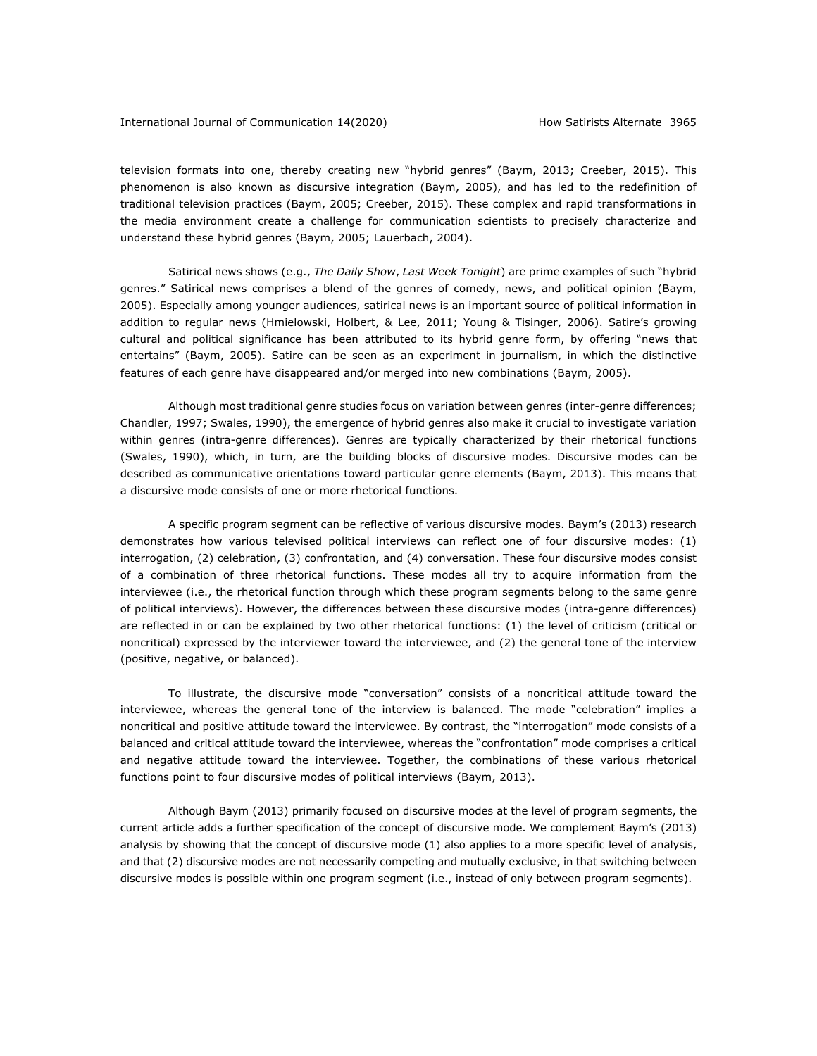television formats into one, thereby creating new "hybrid genres" (Baym, 2013; Creeber, 2015). This phenomenon is also known as discursive integration (Baym, 2005), and has led to the redefinition of traditional television practices (Baym, 2005; Creeber, 2015). These complex and rapid transformations in the media environment create a challenge for communication scientists to precisely characterize and understand these hybrid genres (Baym, 2005; Lauerbach, 2004).

Satirical news shows (e.g., *The Daily Show*, *Last Week Tonight*) are prime examples of such "hybrid genres." Satirical news comprises a blend of the genres of comedy, news, and political opinion (Baym, 2005). Especially among younger audiences, satirical news is an important source of political information in addition to regular news (Hmielowski, Holbert, & Lee, 2011; Young & Tisinger, 2006). Satire's growing cultural and political significance has been attributed to its hybrid genre form, by offering "news that entertains" (Baym, 2005). Satire can be seen as an experiment in journalism, in which the distinctive features of each genre have disappeared and/or merged into new combinations (Baym, 2005).

Although most traditional genre studies focus on variation between genres (inter-genre differences; Chandler, 1997; Swales, 1990), the emergence of hybrid genres also make it crucial to investigate variation within genres (intra-genre differences). Genres are typically characterized by their rhetorical functions (Swales, 1990), which, in turn, are the building blocks of discursive modes. Discursive modes can be described as communicative orientations toward particular genre elements (Baym, 2013). This means that a discursive mode consists of one or more rhetorical functions.

A specific program segment can be reflective of various discursive modes. Baym's (2013) research demonstrates how various televised political interviews can reflect one of four discursive modes: (1) interrogation, (2) celebration, (3) confrontation, and (4) conversation. These four discursive modes consist of a combination of three rhetorical functions. These modes all try to acquire information from the interviewee (i.e., the rhetorical function through which these program segments belong to the same genre of political interviews). However, the differences between these discursive modes (intra-genre differences) are reflected in or can be explained by two other rhetorical functions: (1) the level of criticism (critical or noncritical) expressed by the interviewer toward the interviewee, and (2) the general tone of the interview (positive, negative, or balanced).

To illustrate, the discursive mode "conversation" consists of a noncritical attitude toward the interviewee, whereas the general tone of the interview is balanced. The mode "celebration" implies a noncritical and positive attitude toward the interviewee. By contrast, the "interrogation" mode consists of a balanced and critical attitude toward the interviewee, whereas the "confrontation" mode comprises a critical and negative attitude toward the interviewee. Together, the combinations of these various rhetorical functions point to four discursive modes of political interviews (Baym, 2013).

Although Baym (2013) primarily focused on discursive modes at the level of program segments, the current article adds a further specification of the concept of discursive mode. We complement Baym's (2013) analysis by showing that the concept of discursive mode (1) also applies to a more specific level of analysis, and that (2) discursive modes are not necessarily competing and mutually exclusive, in that switching between discursive modes is possible within one program segment (i.e., instead of only between program segments).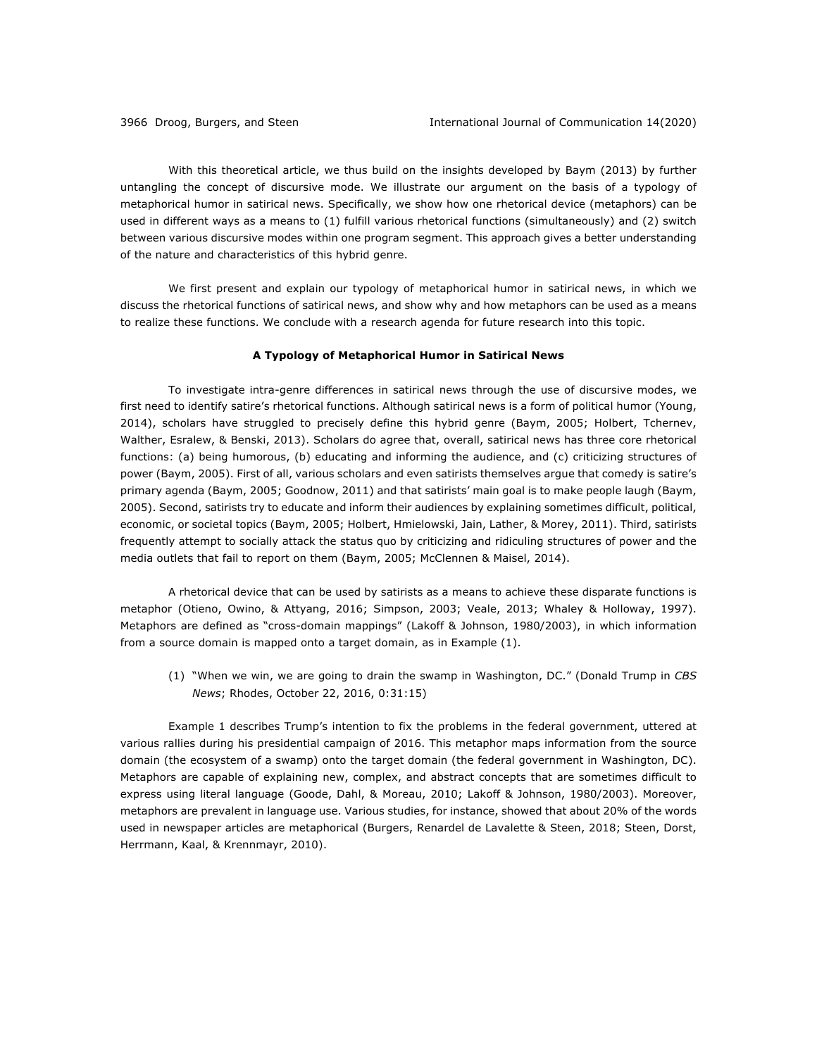With this theoretical article, we thus build on the insights developed by Baym (2013) by further untangling the concept of discursive mode. We illustrate our argument on the basis of a typology of metaphorical humor in satirical news. Specifically, we show how one rhetorical device (metaphors) can be used in different ways as a means to (1) fulfill various rhetorical functions (simultaneously) and (2) switch between various discursive modes within one program segment. This approach gives a better understanding of the nature and characteristics of this hybrid genre.

We first present and explain our typology of metaphorical humor in satirical news, in which we discuss the rhetorical functions of satirical news, and show why and how metaphors can be used as a means to realize these functions. We conclude with a research agenda for future research into this topic.

#### **A Typology of Metaphorical Humor in Satirical News**

To investigate intra-genre differences in satirical news through the use of discursive modes, we first need to identify satire's rhetorical functions. Although satirical news is a form of political humor (Young, 2014), scholars have struggled to precisely define this hybrid genre (Baym, 2005; Holbert, Tchernev, Walther, Esralew, & Benski, 2013). Scholars do agree that, overall, satirical news has three core rhetorical functions: (a) being humorous, (b) educating and informing the audience, and (c) criticizing structures of power (Baym, 2005). First of all, various scholars and even satirists themselves argue that comedy is satire's primary agenda (Baym, 2005; Goodnow, 2011) and that satirists' main goal is to make people laugh (Baym, 2005). Second, satirists try to educate and inform their audiences by explaining sometimes difficult, political, economic, or societal topics (Baym, 2005; Holbert, Hmielowski, Jain, Lather, & Morey, 2011). Third, satirists frequently attempt to socially attack the status quo by criticizing and ridiculing structures of power and the media outlets that fail to report on them (Baym, 2005; McClennen & Maisel, 2014).

A rhetorical device that can be used by satirists as a means to achieve these disparate functions is metaphor (Otieno, Owino, & Attyang, 2016; Simpson, 2003; Veale, 2013; Whaley & Holloway, 1997). Metaphors are defined as "cross-domain mappings" (Lakoff & Johnson, 1980/2003), in which information from a source domain is mapped onto a target domain, as in Example (1).

(1) "When we win, we are going to drain the swamp in Washington, DC." (Donald Trump in *CBS News*; Rhodes, October 22, 2016, 0:31:15)

Example 1 describes Trump's intention to fix the problems in the federal government, uttered at various rallies during his presidential campaign of 2016. This metaphor maps information from the source domain (the ecosystem of a swamp) onto the target domain (the federal government in Washington, DC). Metaphors are capable of explaining new, complex, and abstract concepts that are sometimes difficult to express using literal language (Goode, Dahl, & Moreau, 2010; Lakoff & Johnson, 1980/2003). Moreover, metaphors are prevalent in language use. Various studies, for instance, showed that about 20% of the words used in newspaper articles are metaphorical (Burgers, Renardel de Lavalette & Steen, 2018; Steen, Dorst, Herrmann, Kaal, & Krennmayr, 2010).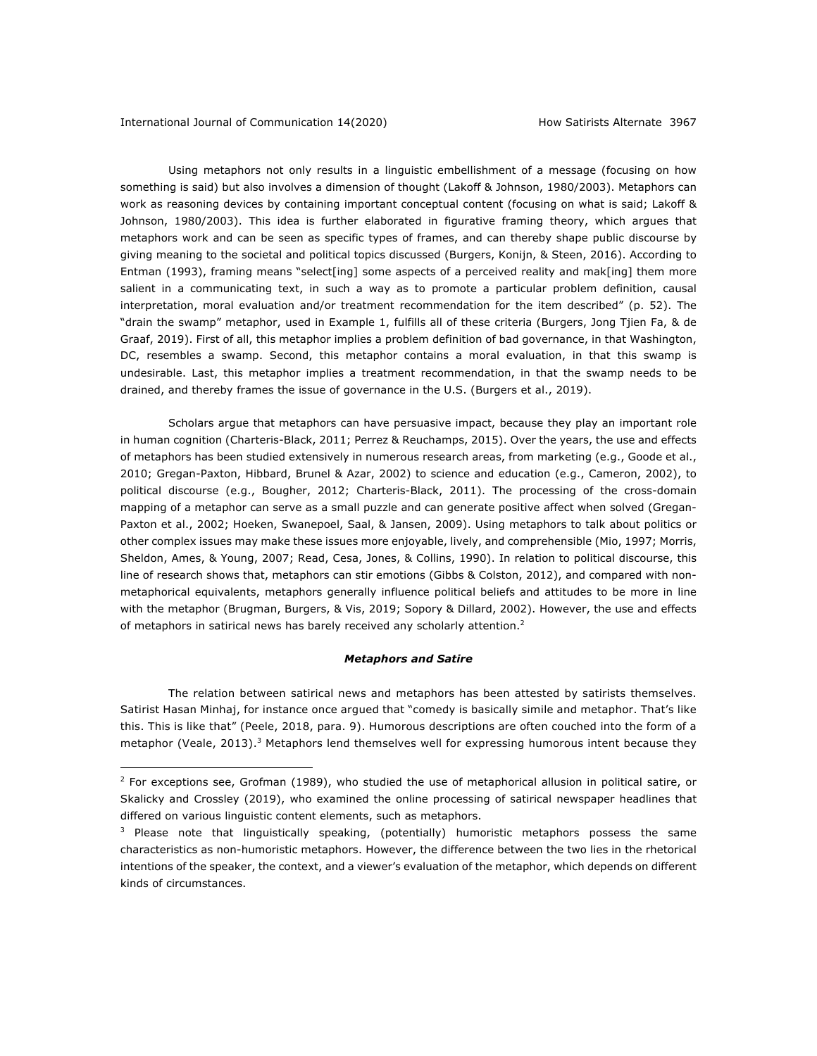Using metaphors not only results in a linguistic embellishment of a message (focusing on how something is said) but also involves a dimension of thought (Lakoff & Johnson, 1980/2003). Metaphors can work as reasoning devices by containing important conceptual content (focusing on what is said; Lakoff & Johnson, 1980/2003). This idea is further elaborated in figurative framing theory, which argues that metaphors work and can be seen as specific types of frames, and can thereby shape public discourse by giving meaning to the societal and political topics discussed (Burgers, Konijn, & Steen, 2016). According to Entman (1993), framing means "select[ing] some aspects of a perceived reality and mak[ing] them more salient in a communicating text, in such a way as to promote a particular problem definition, causal interpretation, moral evaluation and/or treatment recommendation for the item described" (p. 52). The "drain the swamp" metaphor, used in Example 1, fulfills all of these criteria (Burgers, Jong Tjien Fa, & de Graaf, 2019). First of all, this metaphor implies a problem definition of bad governance, in that Washington, DC, resembles a swamp. Second, this metaphor contains a moral evaluation, in that this swamp is undesirable. Last, this metaphor implies a treatment recommendation, in that the swamp needs to be drained, and thereby frames the issue of governance in the U.S. (Burgers et al., 2019).

Scholars argue that metaphors can have persuasive impact, because they play an important role in human cognition (Charteris-Black, 2011; Perrez & Reuchamps, 2015). Over the years, the use and effects of metaphors has been studied extensively in numerous research areas, from marketing (e.g., Goode et al., 2010; Gregan-Paxton, Hibbard, Brunel & Azar, 2002) to science and education (e.g., Cameron, 2002), to political discourse (e.g., Bougher, 2012; Charteris-Black, 2011). The processing of the cross-domain mapping of a metaphor can serve as a small puzzle and can generate positive affect when solved (Gregan-Paxton et al., 2002; Hoeken, Swanepoel, Saal, & Jansen, 2009). Using metaphors to talk about politics or other complex issues may make these issues more enjoyable, lively, and comprehensible (Mio, 1997; Morris, Sheldon, Ames, & Young, 2007; Read, Cesa, Jones, & Collins, 1990). In relation to political discourse, this line of research shows that, metaphors can stir emotions (Gibbs & Colston, 2012), and compared with nonmetaphorical equivalents, metaphors generally influence political beliefs and attitudes to be more in line with the metaphor (Brugman, Burgers, & Vis, 2019; Sopory & Dillard, 2002). However, the use and effects of metaphors in satirical news has barely received any scholarly attention.<sup>2</sup>

#### *Metaphors and Satire*

The relation between satirical news and metaphors has been attested by satirists themselves. Satirist Hasan Minhaj, for instance once argued that "comedy is basically simile and metaphor. That's like this. This is like that" (Peele, 2018, para. 9). Humorous descriptions are often couched into the form of a metaphor (Veale, 2013).<sup>3</sup> Metaphors lend themselves well for expressing humorous intent because they

 $2$  For exceptions see, Grofman (1989), who studied the use of metaphorical allusion in political satire, or Skalicky and Crossley (2019), who examined the online processing of satirical newspaper headlines that differed on various linguistic content elements, such as metaphors.

 $3$  Please note that linguistically speaking, (potentially) humoristic metaphors possess the same characteristics as non-humoristic metaphors. However, the difference between the two lies in the rhetorical intentions of the speaker, the context, and a viewer's evaluation of the metaphor, which depends on different kinds of circumstances.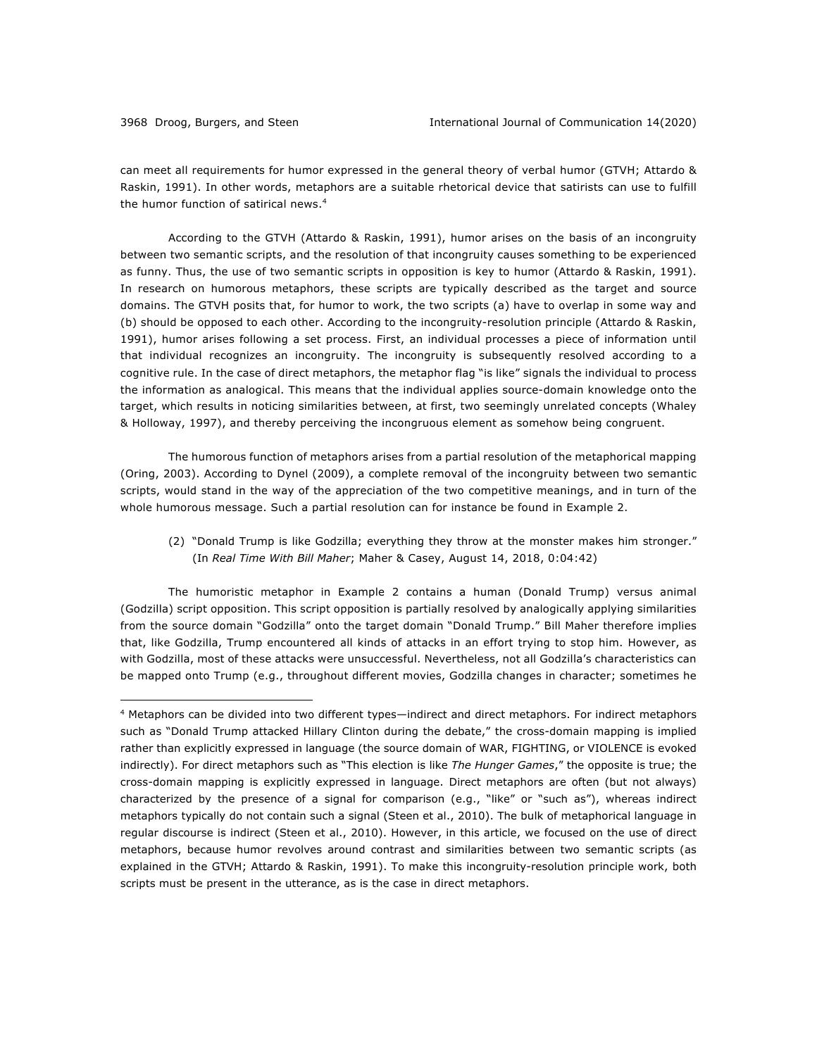can meet all requirements for humor expressed in the general theory of verbal humor (GTVH; Attardo & Raskin, 1991). In other words, metaphors are a suitable rhetorical device that satirists can use to fulfill the humor function of satirical news.<sup>4</sup>

According to the GTVH (Attardo & Raskin, 1991), humor arises on the basis of an incongruity between two semantic scripts, and the resolution of that incongruity causes something to be experienced as funny. Thus, the use of two semantic scripts in opposition is key to humor (Attardo & Raskin, 1991). In research on humorous metaphors, these scripts are typically described as the target and source domains. The GTVH posits that, for humor to work, the two scripts (a) have to overlap in some way and (b) should be opposed to each other. According to the incongruity-resolution principle (Attardo & Raskin, 1991), humor arises following a set process. First, an individual processes a piece of information until that individual recognizes an incongruity. The incongruity is subsequently resolved according to a cognitive rule. In the case of direct metaphors, the metaphor flag "is like" signals the individual to process the information as analogical. This means that the individual applies source-domain knowledge onto the target, which results in noticing similarities between, at first, two seemingly unrelated concepts (Whaley & Holloway, 1997), and thereby perceiving the incongruous element as somehow being congruent.

The humorous function of metaphors arises from a partial resolution of the metaphorical mapping (Oring, 2003). According to Dynel (2009), a complete removal of the incongruity between two semantic scripts, would stand in the way of the appreciation of the two competitive meanings, and in turn of the whole humorous message. Such a partial resolution can for instance be found in Example 2.

(2) "Donald Trump is like Godzilla; everything they throw at the monster makes him stronger." (In *Real Time With Bill Maher*; Maher & Casey, August 14, 2018, 0:04:42)

The humoristic metaphor in Example 2 contains a human (Donald Trump) versus animal (Godzilla) script opposition. This script opposition is partially resolved by analogically applying similarities from the source domain "Godzilla" onto the target domain "Donald Trump." Bill Maher therefore implies that, like Godzilla, Trump encountered all kinds of attacks in an effort trying to stop him. However, as with Godzilla, most of these attacks were unsuccessful. Nevertheless, not all Godzilla's characteristics can be mapped onto Trump (e.g., throughout different movies, Godzilla changes in character; sometimes he

<sup>4</sup> Metaphors can be divided into two different types—indirect and direct metaphors. For indirect metaphors such as "Donald Trump attacked Hillary Clinton during the debate," the cross-domain mapping is implied rather than explicitly expressed in language (the source domain of WAR, FIGHTING, or VIOLENCE is evoked indirectly). For direct metaphors such as "This election is like *The Hunger Games*," the opposite is true; the cross-domain mapping is explicitly expressed in language. Direct metaphors are often (but not always) characterized by the presence of a signal for comparison (e.g., "like" or "such as"), whereas indirect metaphors typically do not contain such a signal (Steen et al., 2010). The bulk of metaphorical language in regular discourse is indirect (Steen et al., 2010). However, in this article, we focused on the use of direct metaphors, because humor revolves around contrast and similarities between two semantic scripts (as explained in the GTVH; Attardo & Raskin, 1991). To make this incongruity-resolution principle work, both scripts must be present in the utterance, as is the case in direct metaphors.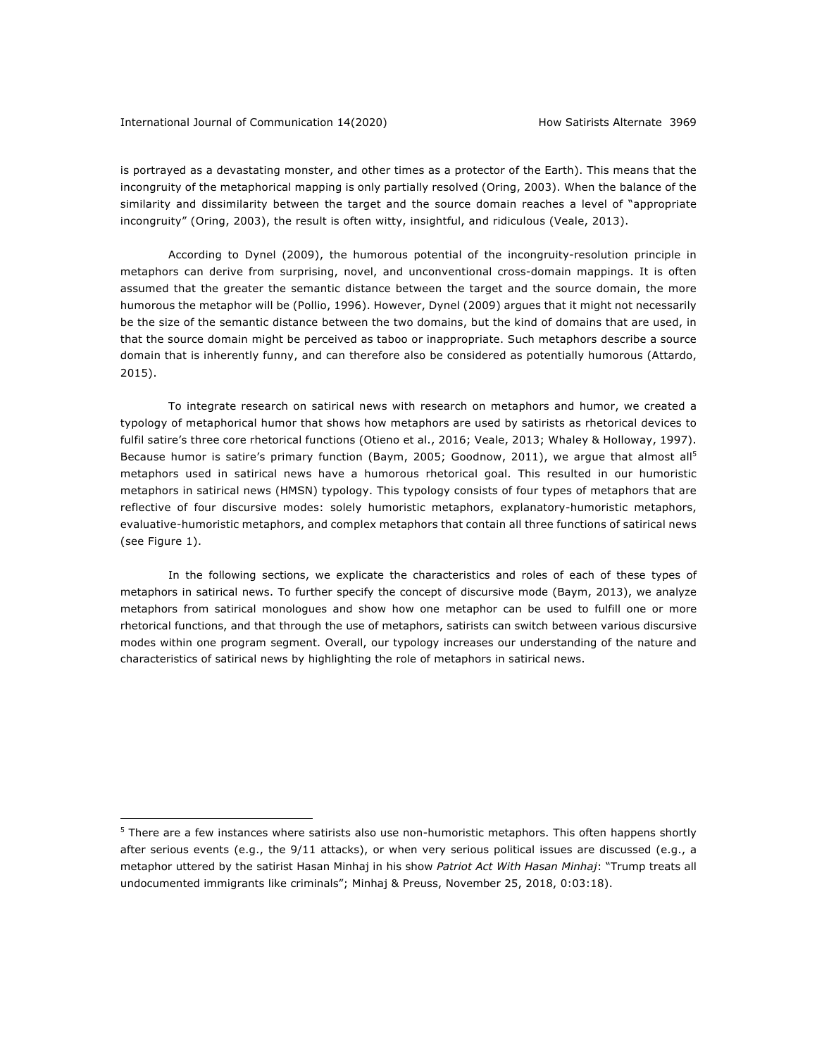#### International Journal of Communication 14(2020) The Mateutical How Satirists Alternate 3969

is portrayed as a devastating monster, and other times as a protector of the Earth). This means that the incongruity of the metaphorical mapping is only partially resolved (Oring, 2003). When the balance of the similarity and dissimilarity between the target and the source domain reaches a level of "appropriate incongruity" (Oring, 2003), the result is often witty, insightful, and ridiculous (Veale, 2013).

According to Dynel (2009), the humorous potential of the incongruity-resolution principle in metaphors can derive from surprising, novel, and unconventional cross-domain mappings. It is often assumed that the greater the semantic distance between the target and the source domain, the more humorous the metaphor will be (Pollio, 1996). However, Dynel (2009) argues that it might not necessarily be the size of the semantic distance between the two domains, but the kind of domains that are used, in that the source domain might be perceived as taboo or inappropriate. Such metaphors describe a source domain that is inherently funny, and can therefore also be considered as potentially humorous (Attardo, 2015).

To integrate research on satirical news with research on metaphors and humor, we created a typology of metaphorical humor that shows how metaphors are used by satirists as rhetorical devices to fulfil satire's three core rhetorical functions (Otieno et al., 2016; Veale, 2013; Whaley & Holloway, 1997). Because humor is satire's primary function (Baym, 2005; Goodnow, 2011), we argue that almost all<sup>5</sup> metaphors used in satirical news have a humorous rhetorical goal. This resulted in our humoristic metaphors in satirical news (HMSN) typology. This typology consists of four types of metaphors that are reflective of four discursive modes: solely humoristic metaphors, explanatory-humoristic metaphors, evaluative-humoristic metaphors, and complex metaphors that contain all three functions of satirical news (see Figure 1).

In the following sections, we explicate the characteristics and roles of each of these types of metaphors in satirical news. To further specify the concept of discursive mode (Baym, 2013), we analyze metaphors from satirical monologues and show how one metaphor can be used to fulfill one or more rhetorical functions, and that through the use of metaphors, satirists can switch between various discursive modes within one program segment. Overall, our typology increases our understanding of the nature and characteristics of satirical news by highlighting the role of metaphors in satirical news.

 $5$  There are a few instances where satirists also use non-humoristic metaphors. This often happens shortly after serious events (e.g., the 9/11 attacks), or when very serious political issues are discussed (e.g., a metaphor uttered by the satirist Hasan Minhaj in his show *Patriot Act With Hasan Minhaj*: "Trump treats all undocumented immigrants like criminals"; Minhaj & Preuss, November 25, 2018, 0:03:18).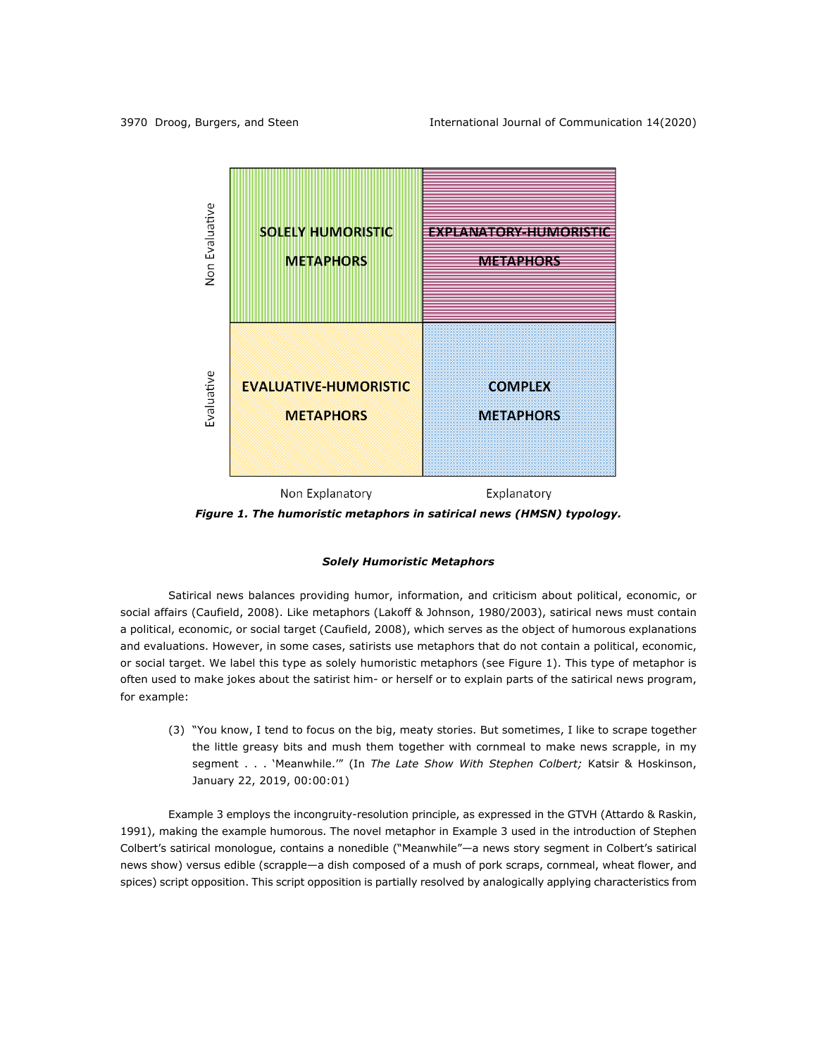

*Figure 1. The humoristic metaphors in satirical news (HMSN) typology.*

#### *Solely Humoristic Metaphors*

Satirical news balances providing humor, information, and criticism about political, economic, or social affairs (Caufield, 2008). Like metaphors (Lakoff & Johnson, 1980/2003), satirical news must contain a political, economic, or social target (Caufield, 2008), which serves as the object of humorous explanations and evaluations. However, in some cases, satirists use metaphors that do not contain a political, economic, or social target. We label this type as solely humoristic metaphors (see Figure 1). This type of metaphor is often used to make jokes about the satirist him- or herself or to explain parts of the satirical news program, for example:

(3) "You know, I tend to focus on the big, meaty stories. But sometimes, I like to scrape together the little greasy bits and mush them together with cornmeal to make news scrapple, in my segment . . . 'Meanwhile.'" (In *The Late Show With Stephen Colbert;* Katsir & Hoskinson, January 22, 2019, 00:00:01)

Example 3 employs the incongruity-resolution principle, as expressed in the GTVH (Attardo & Raskin, 1991), making the example humorous. The novel metaphor in Example 3 used in the introduction of Stephen Colbert's satirical monologue, contains a nonedible ("Meanwhile"—a news story segment in Colbert's satirical news show) versus edible (scrapple—a dish composed of a mush of pork scraps, cornmeal, wheat flower, and spices) script opposition. This script opposition is partially resolved by analogically applying characteristics from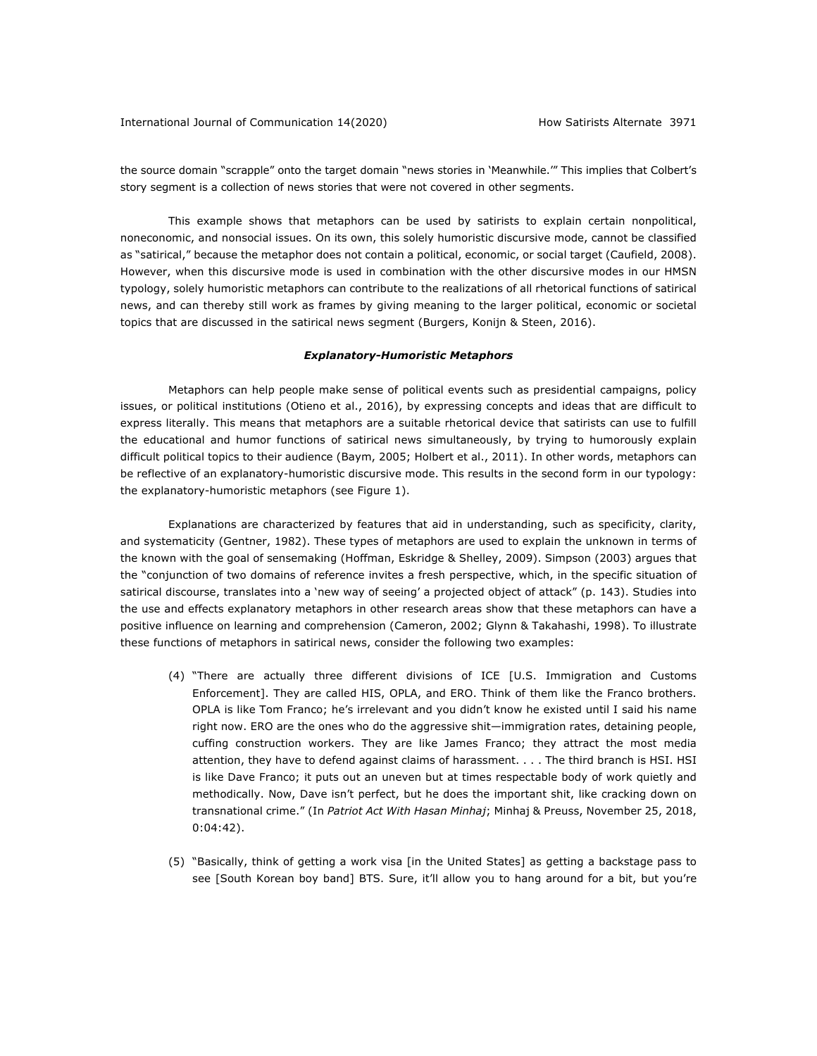the source domain "scrapple" onto the target domain "news stories in 'Meanwhile.'" This implies that Colbert's story segment is a collection of news stories that were not covered in other segments.

This example shows that metaphors can be used by satirists to explain certain nonpolitical, noneconomic, and nonsocial issues. On its own, this solely humoristic discursive mode, cannot be classified as "satirical," because the metaphor does not contain a political, economic, or social target (Caufield, 2008). However, when this discursive mode is used in combination with the other discursive modes in our HMSN typology, solely humoristic metaphors can contribute to the realizations of all rhetorical functions of satirical news, and can thereby still work as frames by giving meaning to the larger political, economic or societal topics that are discussed in the satirical news segment (Burgers, Konijn & Steen, 2016).

#### *Explanatory-Humoristic Metaphors*

Metaphors can help people make sense of political events such as presidential campaigns, policy issues, or political institutions (Otieno et al., 2016), by expressing concepts and ideas that are difficult to express literally. This means that metaphors are a suitable rhetorical device that satirists can use to fulfill the educational and humor functions of satirical news simultaneously, by trying to humorously explain difficult political topics to their audience (Baym, 2005; Holbert et al., 2011). In other words, metaphors can be reflective of an explanatory-humoristic discursive mode. This results in the second form in our typology: the explanatory-humoristic metaphors (see Figure 1).

Explanations are characterized by features that aid in understanding, such as specificity, clarity, and systematicity (Gentner, 1982). These types of metaphors are used to explain the unknown in terms of the known with the goal of sensemaking (Hoffman, Eskridge & Shelley, 2009). Simpson (2003) argues that the "conjunction of two domains of reference invites a fresh perspective, which, in the specific situation of satirical discourse, translates into a 'new way of seeing' a projected object of attack" (p. 143). Studies into the use and effects explanatory metaphors in other research areas show that these metaphors can have a positive influence on learning and comprehension (Cameron, 2002; Glynn & Takahashi, 1998). To illustrate these functions of metaphors in satirical news, consider the following two examples:

- (4) "There are actually three different divisions of ICE [U.S. Immigration and Customs Enforcement]. They are called HIS, OPLA, and ERO. Think of them like the Franco brothers. OPLA is like Tom Franco; he's irrelevant and you didn't know he existed until I said his name right now. ERO are the ones who do the aggressive shit—immigration rates, detaining people, cuffing construction workers. They are like James Franco; they attract the most media attention, they have to defend against claims of harassment. . . . The third branch is HSI. HSI is like Dave Franco; it puts out an uneven but at times respectable body of work quietly and methodically. Now, Dave isn't perfect, but he does the important shit, like cracking down on transnational crime." (In *Patriot Act With Hasan Minhaj*; Minhaj & Preuss, November 25, 2018, 0:04:42).
- (5) "Basically, think of getting a work visa [in the United States] as getting a backstage pass to see [South Korean boy band] BTS. Sure, it'll allow you to hang around for a bit, but you're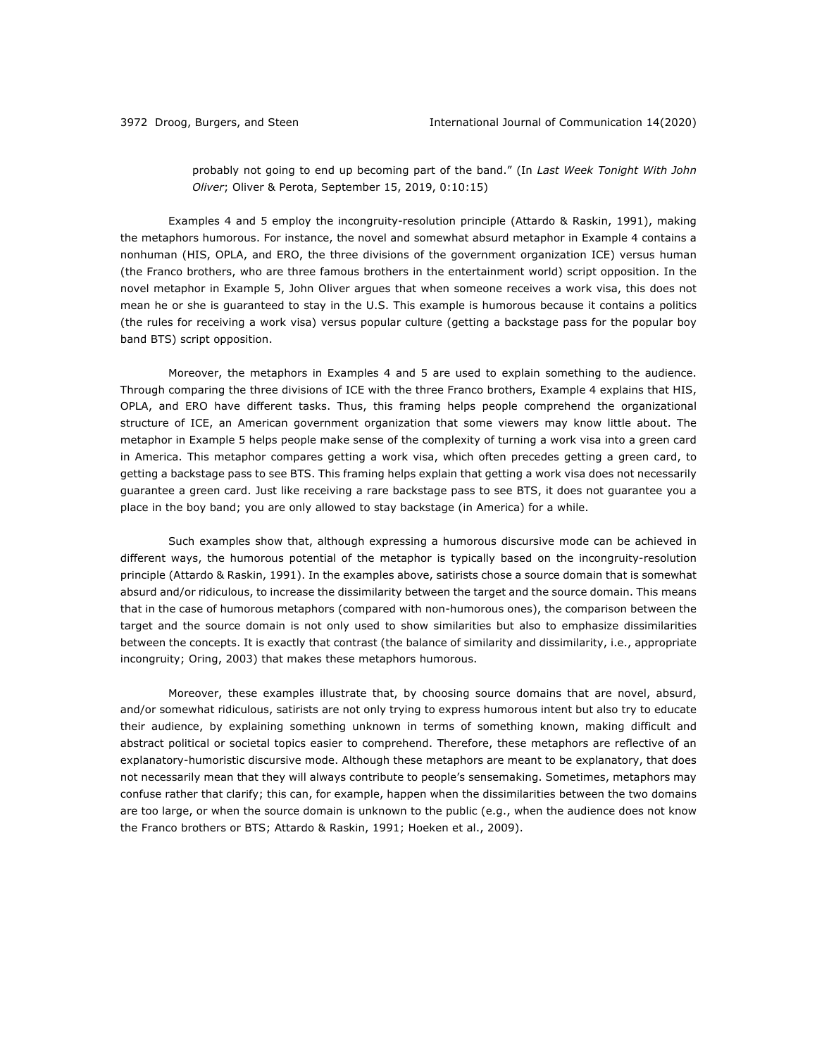probably not going to end up becoming part of the band." (In *Last Week Tonight With John Oliver*; Oliver & Perota, September 15, 2019, 0:10:15)

Examples 4 and 5 employ the incongruity-resolution principle (Attardo & Raskin, 1991), making the metaphors humorous. For instance, the novel and somewhat absurd metaphor in Example 4 contains a nonhuman (HIS, OPLA, and ERO, the three divisions of the government organization ICE) versus human (the Franco brothers, who are three famous brothers in the entertainment world) script opposition. In the novel metaphor in Example 5, John Oliver argues that when someone receives a work visa, this does not mean he or she is guaranteed to stay in the U.S. This example is humorous because it contains a politics (the rules for receiving a work visa) versus popular culture (getting a backstage pass for the popular boy band BTS) script opposition.

Moreover, the metaphors in Examples 4 and 5 are used to explain something to the audience. Through comparing the three divisions of ICE with the three Franco brothers, Example 4 explains that HIS, OPLA, and ERO have different tasks. Thus, this framing helps people comprehend the organizational structure of ICE, an American government organization that some viewers may know little about. The metaphor in Example 5 helps people make sense of the complexity of turning a work visa into a green card in America. This metaphor compares getting a work visa, which often precedes getting a green card, to getting a backstage pass to see BTS. This framing helps explain that getting a work visa does not necessarily guarantee a green card. Just like receiving a rare backstage pass to see BTS, it does not guarantee you a place in the boy band; you are only allowed to stay backstage (in America) for a while.

Such examples show that, although expressing a humorous discursive mode can be achieved in different ways, the humorous potential of the metaphor is typically based on the incongruity-resolution principle (Attardo & Raskin, 1991). In the examples above, satirists chose a source domain that is somewhat absurd and/or ridiculous, to increase the dissimilarity between the target and the source domain. This means that in the case of humorous metaphors (compared with non-humorous ones), the comparison between the target and the source domain is not only used to show similarities but also to emphasize dissimilarities between the concepts. It is exactly that contrast (the balance of similarity and dissimilarity, i.e., appropriate incongruity; Oring, 2003) that makes these metaphors humorous.

Moreover, these examples illustrate that, by choosing source domains that are novel, absurd, and/or somewhat ridiculous, satirists are not only trying to express humorous intent but also try to educate their audience, by explaining something unknown in terms of something known, making difficult and abstract political or societal topics easier to comprehend. Therefore, these metaphors are reflective of an explanatory-humoristic discursive mode. Although these metaphors are meant to be explanatory, that does not necessarily mean that they will always contribute to people's sensemaking. Sometimes, metaphors may confuse rather that clarify; this can, for example, happen when the dissimilarities between the two domains are too large, or when the source domain is unknown to the public (e.g., when the audience does not know the Franco brothers or BTS; Attardo & Raskin, 1991; Hoeken et al., 2009).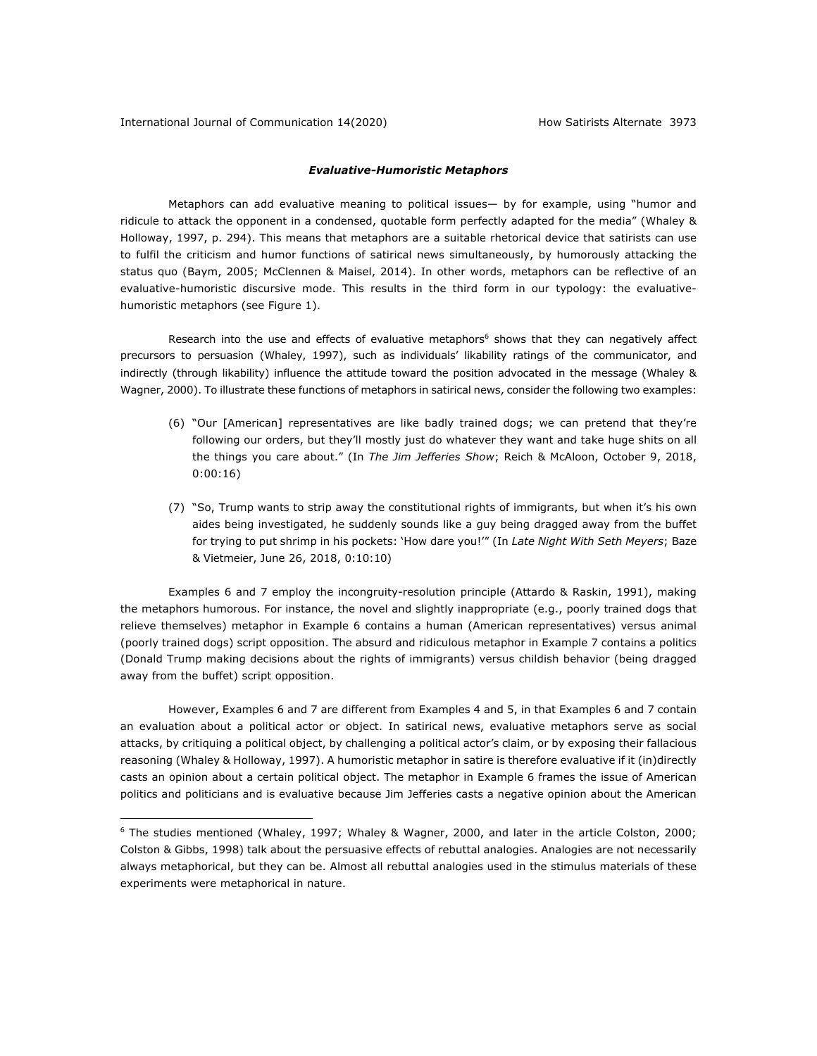# *Evaluative-Humoristic Metaphors*

Metaphors can add evaluative meaning to political issues— by for example, using "humor and ridicule to attack the opponent in a condensed, quotable form perfectly adapted for the media" (Whaley & Holloway, 1997, p. 294). This means that metaphors are a suitable rhetorical device that satirists can use to fulfil the criticism and humor functions of satirical news simultaneously, by humorously attacking the status quo (Baym, 2005; McClennen & Maisel, 2014). In other words, metaphors can be reflective of an evaluative-humoristic discursive mode. This results in the third form in our typology: the evaluativehumoristic metaphors (see Figure 1).

Research into the use and effects of evaluative metaphors<sup>6</sup> shows that they can negatively affect precursors to persuasion (Whaley, 1997), such as individuals' likability ratings of the communicator, and indirectly (through likability) influence the attitude toward the position advocated in the message (Whaley & Wagner, 2000). To illustrate these functions of metaphors in satirical news, consider the following two examples:

- (6) "Our [American] representatives are like badly trained dogs; we can pretend that they're following our orders, but they'll mostly just do whatever they want and take huge shits on all the things you care about." (In *The Jim Jefferies Show*; Reich & McAloon, October 9, 2018, 0:00:16)
- (7) "So, Trump wants to strip away the constitutional rights of immigrants, but when it's his own aides being investigated, he suddenly sounds like a guy being dragged away from the buffet for trying to put shrimp in his pockets: 'How dare you!'" (In *Late Night With Seth Meyers*; Baze & Vietmeier, June 26, 2018, 0:10:10)

Examples 6 and 7 employ the incongruity-resolution principle (Attardo & Raskin, 1991), making the metaphors humorous. For instance, the novel and slightly inappropriate (e.g., poorly trained dogs that relieve themselves) metaphor in Example 6 contains a human (American representatives) versus animal (poorly trained dogs) script opposition. The absurd and ridiculous metaphor in Example 7 contains a politics (Donald Trump making decisions about the rights of immigrants) versus childish behavior (being dragged away from the buffet) script opposition.

However, Examples 6 and 7 are different from Examples 4 and 5, in that Examples 6 and 7 contain an evaluation about a political actor or object. In satirical news, evaluative metaphors serve as social attacks, by critiquing a political object, by challenging a political actor's claim, or by exposing their fallacious reasoning (Whaley & Holloway, 1997). A humoristic metaphor in satire is therefore evaluative if it (in)directly casts an opinion about a certain political object. The metaphor in Example 6 frames the issue of American politics and politicians and is evaluative because Jim Jefferies casts a negative opinion about the American

<sup>6</sup> The studies mentioned (Whaley, 1997; Whaley & Wagner, 2000, and later in the article Colston, 2000; Colston & Gibbs, 1998) talk about the persuasive effects of rebuttal analogies. Analogies are not necessarily always metaphorical, but they can be. Almost all rebuttal analogies used in the stimulus materials of these experiments were metaphorical in nature.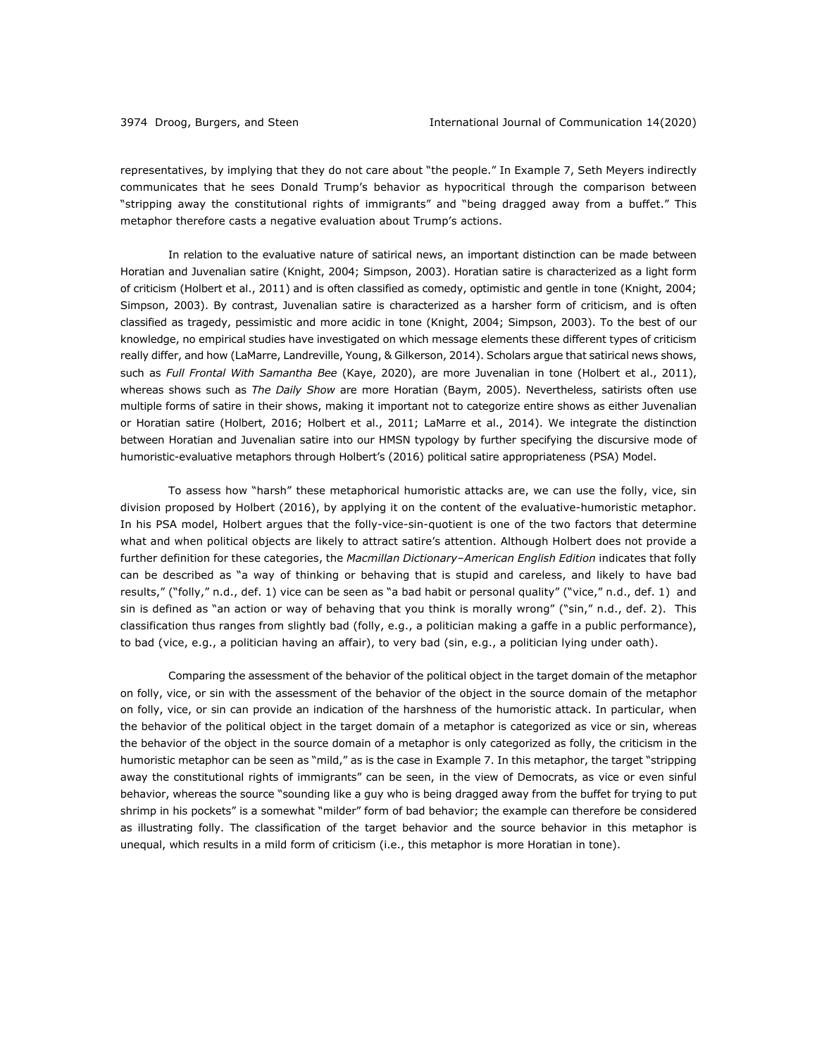representatives, by implying that they do not care about "the people." In Example 7, Seth Meyers indirectly communicates that he sees Donald Trump's behavior as hypocritical through the comparison between "stripping away the constitutional rights of immigrants" and "being dragged away from a buffet." This metaphor therefore casts a negative evaluation about Trump's actions.

In relation to the evaluative nature of satirical news, an important distinction can be made between Horatian and Juvenalian satire (Knight, 2004; Simpson, 2003). Horatian satire is characterized as a light form of criticism (Holbert et al., 2011) and is often classified as comedy, optimistic and gentle in tone (Knight, 2004; Simpson, 2003). By contrast, Juvenalian satire is characterized as a harsher form of criticism, and is often classified as tragedy, pessimistic and more acidic in tone (Knight, 2004; Simpson, 2003). To the best of our knowledge, no empirical studies have investigated on which message elements these different types of criticism really differ, and how (LaMarre, Landreville, Young, & Gilkerson, 2014). Scholars argue that satirical news shows, such as *Full Frontal With Samantha Bee* (Kaye, 2020), are more Juvenalian in tone (Holbert et al., 2011), whereas shows such as *The Daily Show* are more Horatian (Baym, 2005). Nevertheless, satirists often use multiple forms of satire in their shows, making it important not to categorize entire shows as either Juvenalian or Horatian satire (Holbert, 2016; Holbert et al., 2011; LaMarre et al., 2014). We integrate the distinction between Horatian and Juvenalian satire into our HMSN typology by further specifying the discursive mode of humoristic-evaluative metaphors through Holbert's (2016) political satire appropriateness (PSA) Model.

To assess how "harsh" these metaphorical humoristic attacks are, we can use the folly, vice, sin division proposed by Holbert (2016), by applying it on the content of the evaluative-humoristic metaphor. In his PSA model, Holbert argues that the folly-vice-sin-quotient is one of the two factors that determine what and when political objects are likely to attract satire's attention. Although Holbert does not provide a further definition for these categories, the *Macmillan Dictionary–American English Edition* indicates that folly can be described as "a way of thinking or behaving that is stupid and careless, and likely to have bad results," ("folly," n.d., def. 1) vice can be seen as "a bad habit or personal quality" ("vice," n.d., def. 1) and sin is defined as "an action or way of behaving that you think is morally wrong" ("sin," n.d., def. 2). This classification thus ranges from slightly bad (folly, e.g., a politician making a gaffe in a public performance), to bad (vice, e.g., a politician having an affair), to very bad (sin, e.g., a politician lying under oath).

Comparing the assessment of the behavior of the political object in the target domain of the metaphor on folly, vice, or sin with the assessment of the behavior of the object in the source domain of the metaphor on folly, vice, or sin can provide an indication of the harshness of the humoristic attack. In particular, when the behavior of the political object in the target domain of a metaphor is categorized as vice or sin, whereas the behavior of the object in the source domain of a metaphor is only categorized as folly, the criticism in the humoristic metaphor can be seen as "mild," as is the case in Example 7. In this metaphor, the target "stripping away the constitutional rights of immigrants" can be seen, in the view of Democrats, as vice or even sinful behavior, whereas the source "sounding like a guy who is being dragged away from the buffet for trying to put shrimp in his pockets" is a somewhat "milder" form of bad behavior; the example can therefore be considered as illustrating folly. The classification of the target behavior and the source behavior in this metaphor is unequal, which results in a mild form of criticism (i.e., this metaphor is more Horatian in tone).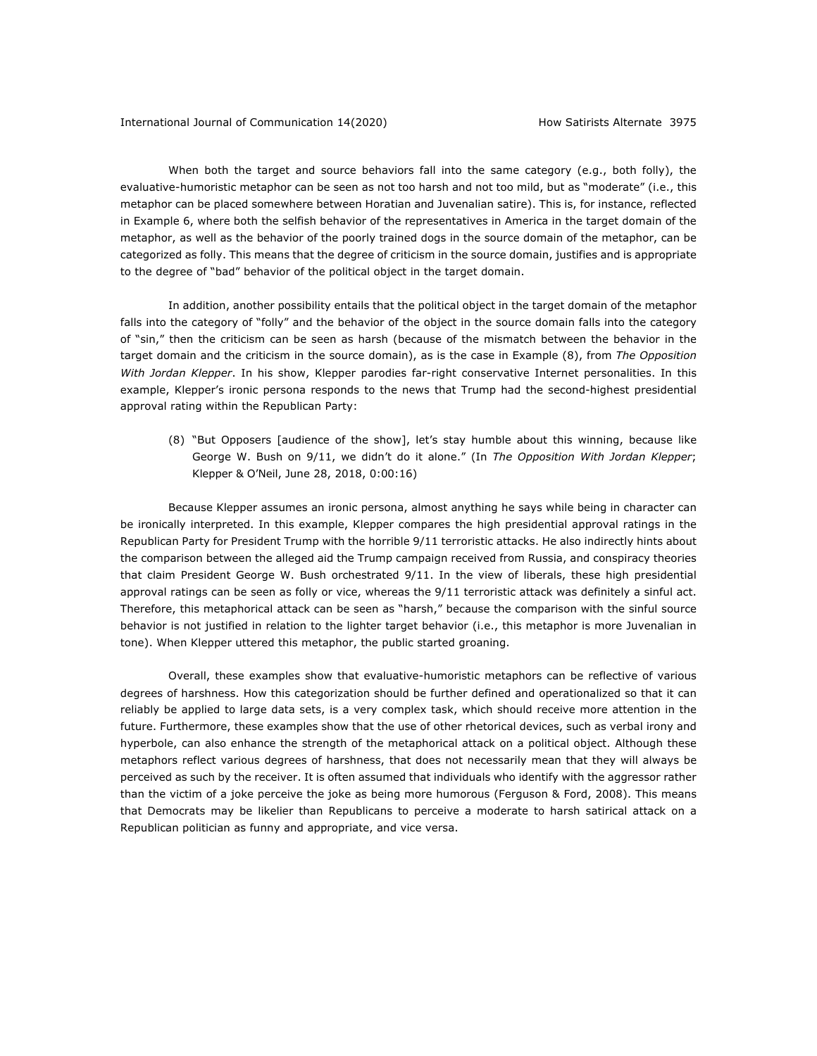When both the target and source behaviors fall into the same category (e.g., both folly), the evaluative-humoristic metaphor can be seen as not too harsh and not too mild, but as "moderate" (i.e., this metaphor can be placed somewhere between Horatian and Juvenalian satire). This is, for instance, reflected in Example 6, where both the selfish behavior of the representatives in America in the target domain of the metaphor, as well as the behavior of the poorly trained dogs in the source domain of the metaphor, can be categorized as folly. This means that the degree of criticism in the source domain, justifies and is appropriate to the degree of "bad" behavior of the political object in the target domain.

In addition, another possibility entails that the political object in the target domain of the metaphor falls into the category of "folly" and the behavior of the object in the source domain falls into the category of "sin," then the criticism can be seen as harsh (because of the mismatch between the behavior in the target domain and the criticism in the source domain), as is the case in Example (8), from *The Opposition With Jordan Klepper*. In his show, Klepper parodies far-right conservative Internet personalities. In this example, Klepper's ironic persona responds to the news that Trump had the second-highest presidential approval rating within the Republican Party:

(8) "But Opposers [audience of the show], let's stay humble about this winning, because like George W. Bush on 9/11, we didn't do it alone." (In *The Opposition With Jordan Klepper*; Klepper & O'Neil, June 28, 2018, 0:00:16)

Because Klepper assumes an ironic persona, almost anything he says while being in character can be ironically interpreted. In this example, Klepper compares the high presidential approval ratings in the Republican Party for President Trump with the horrible 9/11 terroristic attacks. He also indirectly hints about the comparison between the alleged aid the Trump campaign received from Russia, and conspiracy theories that claim President George W. Bush orchestrated 9/11. In the view of liberals, these high presidential approval ratings can be seen as folly or vice, whereas the 9/11 terroristic attack was definitely a sinful act. Therefore, this metaphorical attack can be seen as "harsh," because the comparison with the sinful source behavior is not justified in relation to the lighter target behavior (i.e., this metaphor is more Juvenalian in tone). When Klepper uttered this metaphor, the public started groaning.

Overall, these examples show that evaluative-humoristic metaphors can be reflective of various degrees of harshness. How this categorization should be further defined and operationalized so that it can reliably be applied to large data sets, is a very complex task, which should receive more attention in the future. Furthermore, these examples show that the use of other rhetorical devices, such as verbal irony and hyperbole, can also enhance the strength of the metaphorical attack on a political object. Although these metaphors reflect various degrees of harshness, that does not necessarily mean that they will always be perceived as such by the receiver. It is often assumed that individuals who identify with the aggressor rather than the victim of a joke perceive the joke as being more humorous (Ferguson & Ford, 2008). This means that Democrats may be likelier than Republicans to perceive a moderate to harsh satirical attack on a Republican politician as funny and appropriate, and vice versa.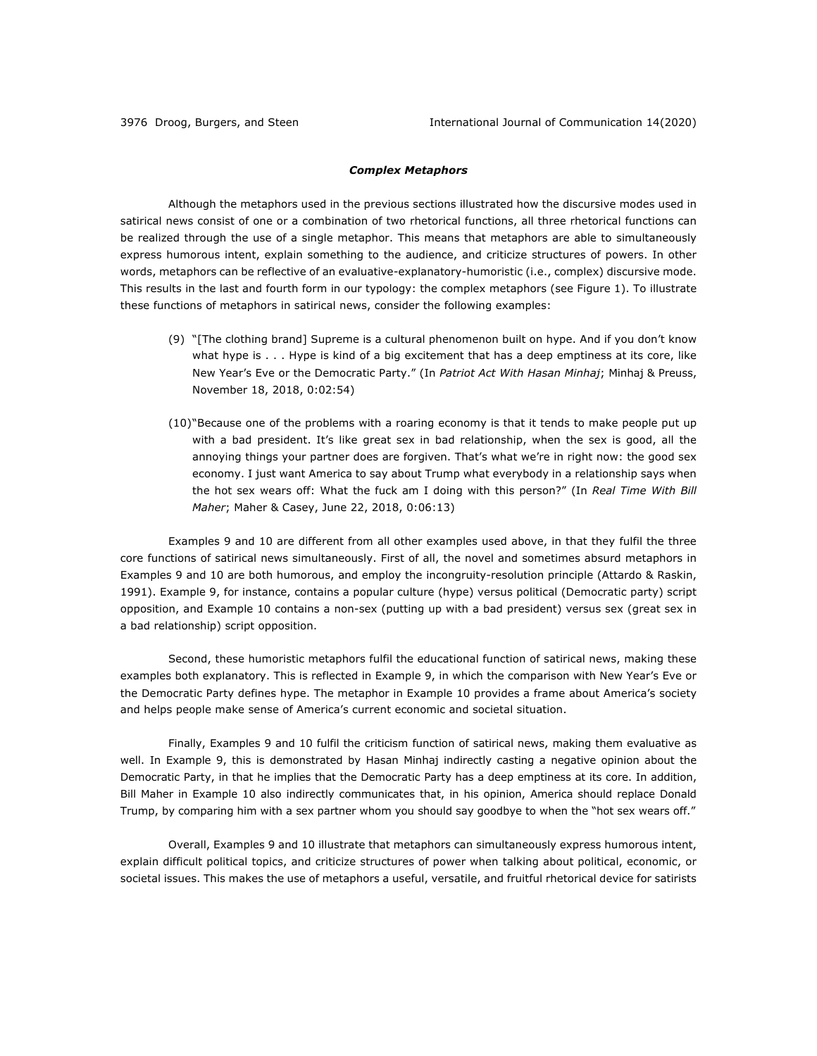### *Complex Metaphors*

Although the metaphors used in the previous sections illustrated how the discursive modes used in satirical news consist of one or a combination of two rhetorical functions, all three rhetorical functions can be realized through the use of a single metaphor. This means that metaphors are able to simultaneously express humorous intent, explain something to the audience, and criticize structures of powers. In other words, metaphors can be reflective of an evaluative-explanatory-humoristic (i.e., complex) discursive mode. This results in the last and fourth form in our typology: the complex metaphors (see Figure 1). To illustrate these functions of metaphors in satirical news, consider the following examples:

- (9) "[The clothing brand] Supreme is a cultural phenomenon built on hype. And if you don't know what hype is . . . Hype is kind of a big excitement that has a deep emptiness at its core, like New Year's Eve or the Democratic Party." (In *Patriot Act With Hasan Minhaj*; Minhaj & Preuss, November 18, 2018, 0:02:54)
- (10)"Because one of the problems with a roaring economy is that it tends to make people put up with a bad president. It's like great sex in bad relationship, when the sex is good, all the annoying things your partner does are forgiven. That's what we're in right now: the good sex economy. I just want America to say about Trump what everybody in a relationship says when the hot sex wears off: What the fuck am I doing with this person?" (In *Real Time With Bill Maher*; Maher & Casey, June 22, 2018, 0:06:13)

Examples 9 and 10 are different from all other examples used above, in that they fulfil the three core functions of satirical news simultaneously. First of all, the novel and sometimes absurd metaphors in Examples 9 and 10 are both humorous, and employ the incongruity-resolution principle (Attardo & Raskin, 1991). Example 9, for instance, contains a popular culture (hype) versus political (Democratic party) script opposition, and Example 10 contains a non-sex (putting up with a bad president) versus sex (great sex in a bad relationship) script opposition.

Second, these humoristic metaphors fulfil the educational function of satirical news, making these examples both explanatory. This is reflected in Example 9, in which the comparison with New Year's Eve or the Democratic Party defines hype. The metaphor in Example 10 provides a frame about America's society and helps people make sense of America's current economic and societal situation.

Finally, Examples 9 and 10 fulfil the criticism function of satirical news, making them evaluative as well. In Example 9, this is demonstrated by Hasan Minhaj indirectly casting a negative opinion about the Democratic Party, in that he implies that the Democratic Party has a deep emptiness at its core. In addition, Bill Maher in Example 10 also indirectly communicates that, in his opinion, America should replace Donald Trump, by comparing him with a sex partner whom you should say goodbye to when the "hot sex wears off."

Overall, Examples 9 and 10 illustrate that metaphors can simultaneously express humorous intent, explain difficult political topics, and criticize structures of power when talking about political, economic, or societal issues. This makes the use of metaphors a useful, versatile, and fruitful rhetorical device for satirists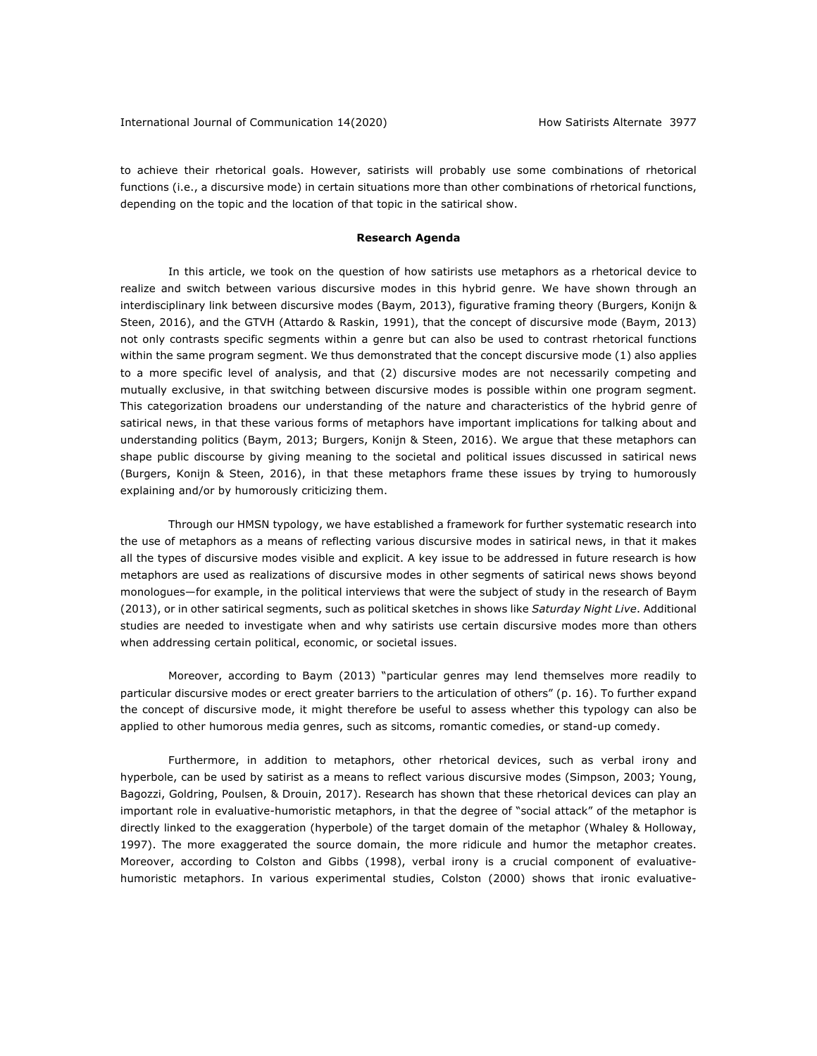to achieve their rhetorical goals. However, satirists will probably use some combinations of rhetorical functions (i.e., a discursive mode) in certain situations more than other combinations of rhetorical functions, depending on the topic and the location of that topic in the satirical show.

#### **Research Agenda**

In this article, we took on the question of how satirists use metaphors as a rhetorical device to realize and switch between various discursive modes in this hybrid genre. We have shown through an interdisciplinary link between discursive modes (Baym, 2013), figurative framing theory (Burgers, Konijn & Steen, 2016), and the GTVH (Attardo & Raskin, 1991), that the concept of discursive mode (Baym, 2013) not only contrasts specific segments within a genre but can also be used to contrast rhetorical functions within the same program segment. We thus demonstrated that the concept discursive mode (1) also applies to a more specific level of analysis, and that (2) discursive modes are not necessarily competing and mutually exclusive, in that switching between discursive modes is possible within one program segment. This categorization broadens our understanding of the nature and characteristics of the hybrid genre of satirical news, in that these various forms of metaphors have important implications for talking about and understanding politics (Baym, 2013; Burgers, Konijn & Steen, 2016). We argue that these metaphors can shape public discourse by giving meaning to the societal and political issues discussed in satirical news (Burgers, Konijn & Steen, 2016), in that these metaphors frame these issues by trying to humorously explaining and/or by humorously criticizing them.

Through our HMSN typology, we have established a framework for further systematic research into the use of metaphors as a means of reflecting various discursive modes in satirical news, in that it makes all the types of discursive modes visible and explicit. A key issue to be addressed in future research is how metaphors are used as realizations of discursive modes in other segments of satirical news shows beyond monologues—for example, in the political interviews that were the subject of study in the research of Baym (2013), or in other satirical segments, such as political sketches in shows like *Saturday Night Live*. Additional studies are needed to investigate when and why satirists use certain discursive modes more than others when addressing certain political, economic, or societal issues.

Moreover, according to Baym (2013) "particular genres may lend themselves more readily to particular discursive modes or erect greater barriers to the articulation of others" (p. 16). To further expand the concept of discursive mode, it might therefore be useful to assess whether this typology can also be applied to other humorous media genres, such as sitcoms, romantic comedies, or stand-up comedy.

Furthermore, in addition to metaphors, other rhetorical devices, such as verbal irony and hyperbole, can be used by satirist as a means to reflect various discursive modes (Simpson, 2003; Young, Bagozzi, Goldring, Poulsen, & Drouin, 2017). Research has shown that these rhetorical devices can play an important role in evaluative-humoristic metaphors, in that the degree of "social attack" of the metaphor is directly linked to the exaggeration (hyperbole) of the target domain of the metaphor (Whaley & Holloway, 1997). The more exaggerated the source domain, the more ridicule and humor the metaphor creates. Moreover, according to Colston and Gibbs (1998), verbal irony is a crucial component of evaluativehumoristic metaphors. In various experimental studies, Colston (2000) shows that ironic evaluative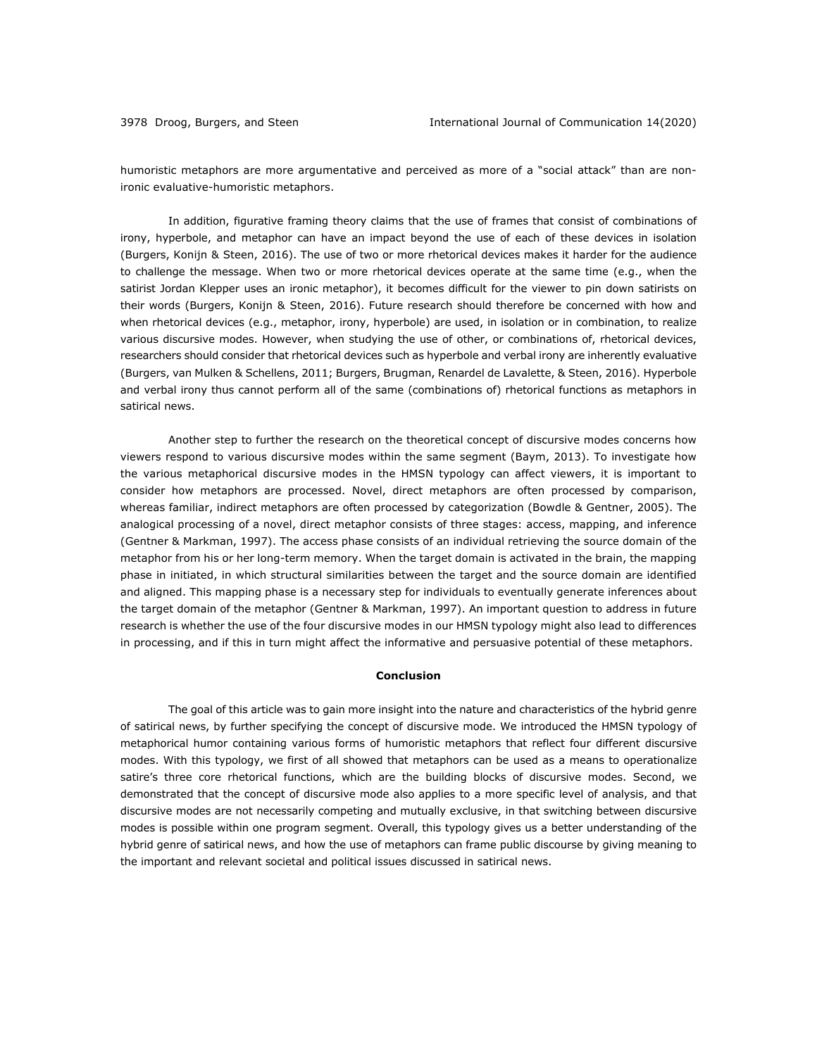humoristic metaphors are more argumentative and perceived as more of a "social attack" than are nonironic evaluative-humoristic metaphors.

In addition, figurative framing theory claims that the use of frames that consist of combinations of irony, hyperbole, and metaphor can have an impact beyond the use of each of these devices in isolation (Burgers, Konijn & Steen, 2016). The use of two or more rhetorical devices makes it harder for the audience to challenge the message. When two or more rhetorical devices operate at the same time (e.g., when the satirist Jordan Klepper uses an ironic metaphor), it becomes difficult for the viewer to pin down satirists on their words (Burgers, Konijn & Steen, 2016). Future research should therefore be concerned with how and when rhetorical devices (e.g., metaphor, irony, hyperbole) are used, in isolation or in combination, to realize various discursive modes. However, when studying the use of other, or combinations of, rhetorical devices, researchers should consider that rhetorical devices such as hyperbole and verbal irony are inherently evaluative (Burgers, van Mulken & Schellens, 2011; Burgers, Brugman, Renardel de Lavalette, & Steen, 2016). Hyperbole and verbal irony thus cannot perform all of the same (combinations of) rhetorical functions as metaphors in satirical news.

Another step to further the research on the theoretical concept of discursive modes concerns how viewers respond to various discursive modes within the same segment (Baym, 2013). To investigate how the various metaphorical discursive modes in the HMSN typology can affect viewers, it is important to consider how metaphors are processed. Novel, direct metaphors are often processed by comparison, whereas familiar, indirect metaphors are often processed by categorization (Bowdle & Gentner, 2005). The analogical processing of a novel, direct metaphor consists of three stages: access, mapping, and inference (Gentner & Markman, 1997). The access phase consists of an individual retrieving the source domain of the metaphor from his or her long-term memory. When the target domain is activated in the brain, the mapping phase in initiated, in which structural similarities between the target and the source domain are identified and aligned. This mapping phase is a necessary step for individuals to eventually generate inferences about the target domain of the metaphor (Gentner & Markman, 1997). An important question to address in future research is whether the use of the four discursive modes in our HMSN typology might also lead to differences in processing, and if this in turn might affect the informative and persuasive potential of these metaphors.

### **Conclusion**

The goal of this article was to gain more insight into the nature and characteristics of the hybrid genre of satirical news, by further specifying the concept of discursive mode. We introduced the HMSN typology of metaphorical humor containing various forms of humoristic metaphors that reflect four different discursive modes. With this typology, we first of all showed that metaphors can be used as a means to operationalize satire's three core rhetorical functions, which are the building blocks of discursive modes. Second, we demonstrated that the concept of discursive mode also applies to a more specific level of analysis, and that discursive modes are not necessarily competing and mutually exclusive, in that switching between discursive modes is possible within one program segment. Overall, this typology gives us a better understanding of the hybrid genre of satirical news, and how the use of metaphors can frame public discourse by giving meaning to the important and relevant societal and political issues discussed in satirical news.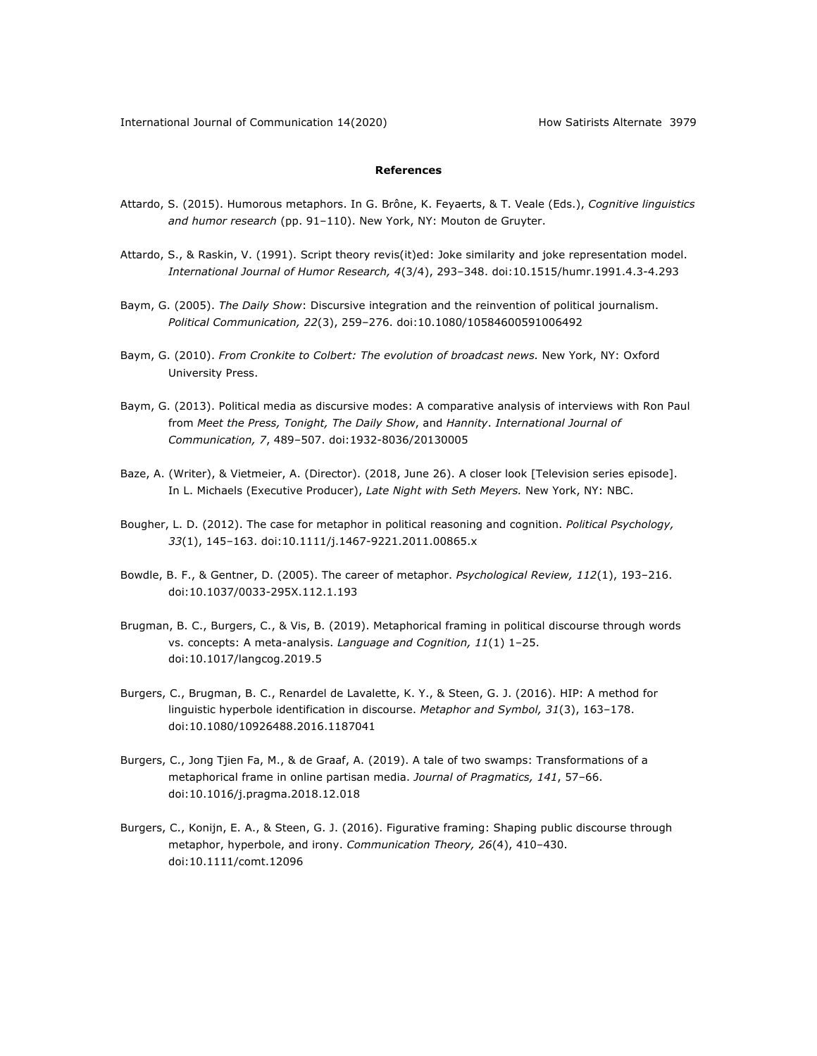## **References**

- Attardo, S. (2015). Humorous metaphors. In G. Brône, K. Feyaerts, & T. Veale (Eds.), *Cognitive linguistics and humor research* (pp. 91–110). New York, NY: Mouton de Gruyter.
- Attardo, S., & Raskin, V. (1991). Script theory revis(it)ed: Joke similarity and joke representation model. *International Journal of Humor Research, 4*(3/4), 293–348. doi:10.1515/humr.1991.4.3-4.293
- Baym, G. (2005). *The Daily Show*: Discursive integration and the reinvention of political journalism. *Political Communication, 22*(3), 259–276. doi:10.1080/10584600591006492
- Baym, G. (2010). *From Cronkite to Colbert: The evolution of broadcast news.* New York, NY: Oxford University Press.
- Baym, G. (2013). Political media as discursive modes: A comparative analysis of interviews with Ron Paul from *Meet the Press, Tonight, The Daily Show*, and *Hannity*. *International Journal of Communication, 7*, 489–507. doi:1932-8036/20130005
- Baze, A. (Writer), & Vietmeier, A. (Director). (2018, June 26). A closer look [Television series episode]. In L. Michaels (Executive Producer), *Late Night with Seth Meyers.* New York, NY: NBC.
- Bougher, L. D. (2012). The case for metaphor in political reasoning and cognition. *Political Psychology, 33*(1), 145–163. doi:10.1111/j.1467-9221.2011.00865.x
- Bowdle, B. F., & Gentner, D. (2005). The career of metaphor. *Psychological Review, 112*(1), 193–216. doi:10.1037/0033-295X.112.1.193
- Brugman, B. C., Burgers, C., & Vis, B. (2019). Metaphorical framing in political discourse through words vs. concepts: A meta-analysis. *Language and Cognition, 11*(1) 1–25. doi:10.1017/langcog.2019.5
- Burgers, C., Brugman, B. C., Renardel de Lavalette, K. Y., & Steen, G. J. (2016). HIP: A method for linguistic hyperbole identification in discourse. *Metaphor and Symbol, 31*(3), 163–178. doi:10.1080/10926488.2016.1187041
- Burgers, C., Jong Tjien Fa, M., & de Graaf, A. (2019). A tale of two swamps: Transformations of a metaphorical frame in online partisan media. *Journal of Pragmatics, 141*, 57–66. doi:10.1016/j.pragma.2018.12.018
- Burgers, C., Konijn, E. A., & Steen, G. J. (2016). Figurative framing: Shaping public discourse through metaphor, hyperbole, and irony. *Communication Theory, 26*(4), 410–430. doi:10.1111/comt.12096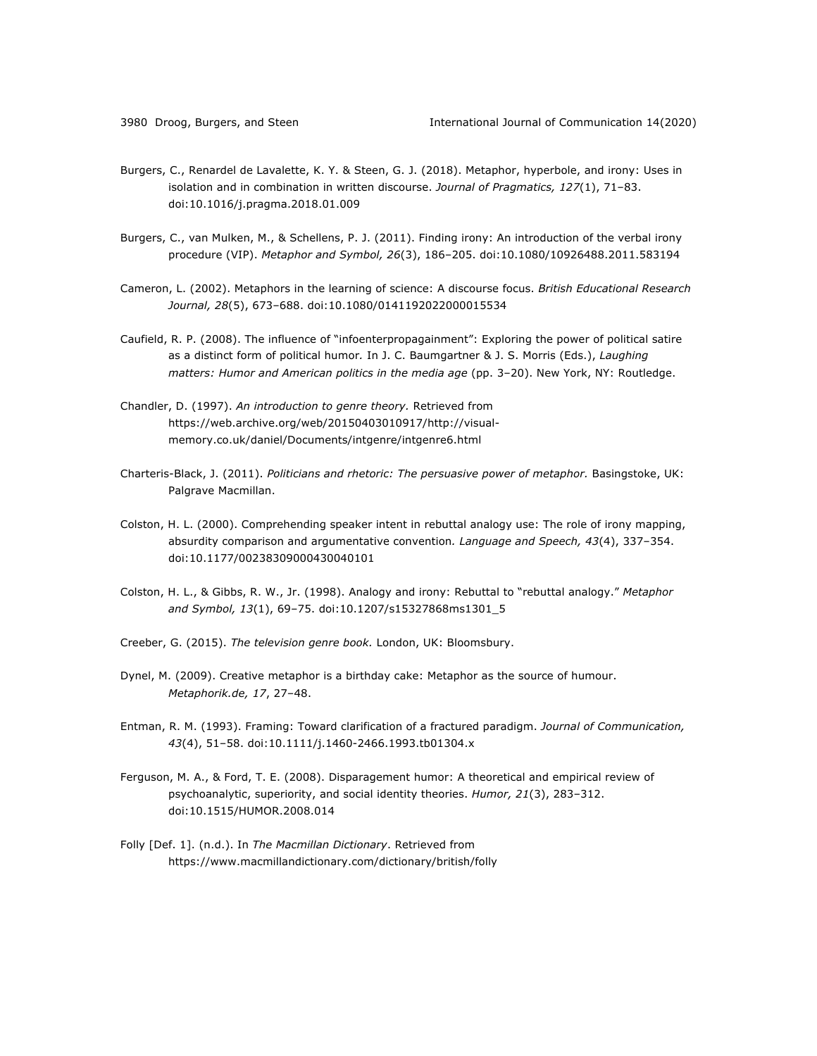- Burgers, C., Renardel de Lavalette, K. Y. & Steen, G. J. (2018). Metaphor, hyperbole, and irony: Uses in isolation and in combination in written discourse. *Journal of Pragmatics, 127*(1), 71–83. doi:10.1016/j.pragma.2018.01.009
- Burgers, C., van Mulken, M., & Schellens, P. J. (2011). Finding irony: An introduction of the verbal irony procedure (VIP). *Metaphor and Symbol, 26*(3), 186–205. doi:10.1080/10926488.2011.583194
- Cameron, L. (2002). Metaphors in the learning of science: A discourse focus. *British Educational Research Journal, 28*(5), 673–688. doi:10.1080/0141192022000015534
- Caufield, R. P. (2008). The influence of "infoenterpropagainment": Exploring the power of political satire as a distinct form of political humor*.* In J. C. Baumgartner & J. S. Morris (Eds.), *Laughing matters: Humor and American politics in the media age* (pp. 3–20). New York, NY: Routledge.
- Chandler, D. (1997). *An introduction to genre theory.* Retrieved from https://web.archive.org/web/20150403010917/http://visualmemory.co.uk/daniel/Documents/intgenre/intgenre6.html
- Charteris-Black, J. (2011). *Politicians and rhetoric: The persuasive power of metaphor.* Basingstoke, UK: Palgrave Macmillan.
- Colston, H. L. (2000). Comprehending speaker intent in rebuttal analogy use: The role of irony mapping, absurdity comparison and argumentative convention*. Language and Speech, 43*(4), 337–354. doi:10.1177/00238309000430040101
- Colston, H. L., & Gibbs, R. W., Jr. (1998). Analogy and irony: Rebuttal to "rebuttal analogy." *Metaphor and Symbol, 13*(1), 69–75. doi:10.1207/s15327868ms1301\_5
- Creeber, G. (2015). *The television genre book.* London, UK: Bloomsbury.
- Dynel, M. (2009). Creative metaphor is a birthday cake: Metaphor as the source of humour. *Metaphorik.de, 17*, 27–48.
- Entman, R. M. (1993). Framing: Toward clarification of a fractured paradigm. *Journal of Communication, 43*(4), 51–58. doi:10.1111/j.1460-2466.1993.tb01304.x
- Ferguson, M. A., & Ford, T. E. (2008). Disparagement humor: A theoretical and empirical review of psychoanalytic, superiority, and social identity theories. *Humor, 21*(3), 283–312. doi:10.1515/HUMOR.2008.014
- Folly [Def. 1]. (n.d.). In *The Macmillan Dictionary*. Retrieved from https://www.macmillandictionary.com/dictionary/british/folly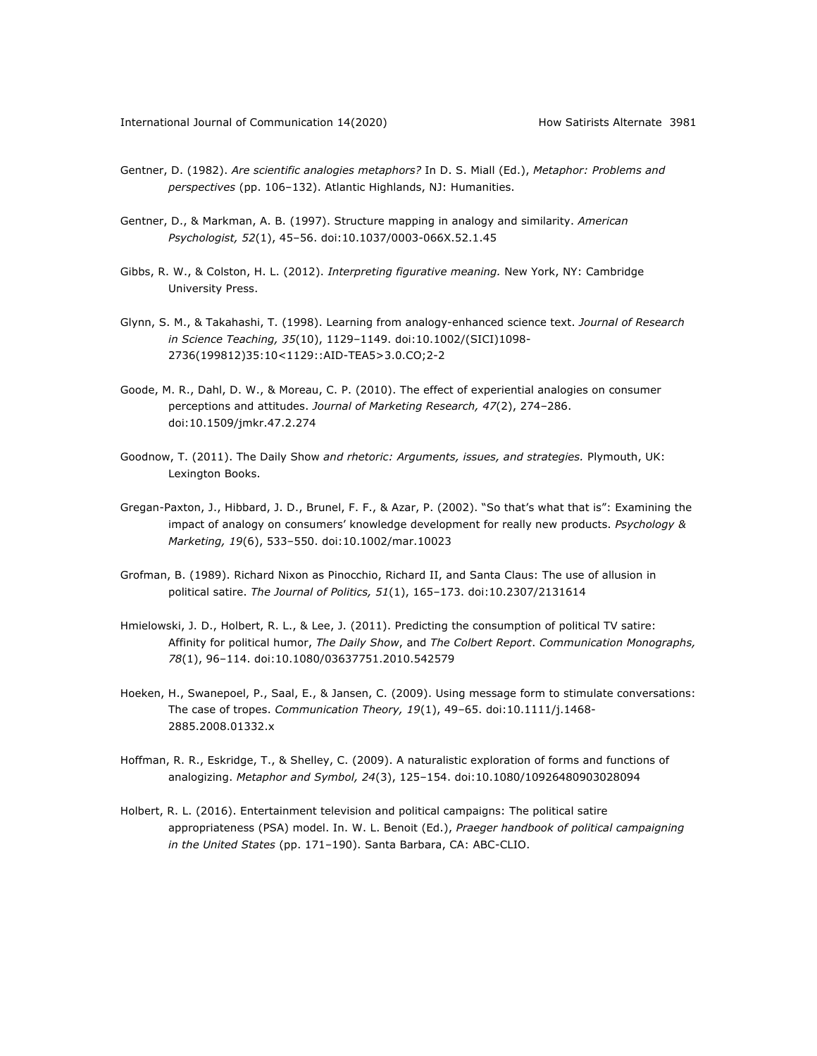- Gentner, D. (1982). *Are scientific analogies metaphors?* In D. S. Miall (Ed.), *Metaphor: Problems and perspectives* (pp. 106–132). Atlantic Highlands, NJ: Humanities.
- Gentner, D., & Markman, A. B. (1997). Structure mapping in analogy and similarity. *American Psychologist, 52*(1), 45–56. doi:10.1037/0003-066X.52.1.45
- Gibbs, R. W., & Colston, H. L. (2012). *Interpreting figurative meaning.* New York, NY: Cambridge University Press.
- Glynn, S. M., & Takahashi, T. (1998). Learning from analogy-enhanced science text. *Journal of Research in Science Teaching, 35*(10), 1129–1149. doi:10.1002/(SICI)1098- 2736(199812)35:10<1129::AID-TEA5>3.0.CO;2-2
- Goode, M. R., Dahl, D. W., & Moreau, C. P. (2010). The effect of experiential analogies on consumer perceptions and attitudes. *Journal of Marketing Research, 47*(2), 274–286. doi:10.1509/jmkr.47.2.274
- Goodnow, T. (2011). The Daily Show *and rhetoric: Arguments, issues, and strategies.* Plymouth, UK: Lexington Books.
- Gregan-Paxton, J., Hibbard, J. D., Brunel, F. F., & Azar, P. (2002). "So that's what that is": Examining the impact of analogy on consumers' knowledge development for really new products. *Psychology & Marketing, 19*(6), 533–550. doi:10.1002/mar.10023
- Grofman, B. (1989). Richard Nixon as Pinocchio, Richard II, and Santa Claus: The use of allusion in political satire. *The Journal of Politics, 51*(1), 165–173. doi:10.2307/2131614
- Hmielowski, J. D., Holbert, R. L., & Lee, J. (2011). Predicting the consumption of political TV satire: Affinity for political humor, *The Daily Show*, and *The Colbert Report*. *Communication Monographs, 78*(1), 96–114. doi:10.1080/03637751.2010.542579
- Hoeken, H., Swanepoel, P., Saal, E., & Jansen, C. (2009). Using message form to stimulate conversations: The case of tropes. *Communication Theory, 19*(1), 49–65. doi:10.1111/j.1468- 2885.2008.01332.x
- Hoffman, R. R., Eskridge, T., & Shelley, C. (2009). A naturalistic exploration of forms and functions of analogizing. *Metaphor and Symbol, 24*(3), 125–154. doi:10.1080/10926480903028094
- Holbert, R. L. (2016). Entertainment television and political campaigns: The political satire appropriateness (PSA) model. In. W. L. Benoit (Ed.), *Praeger handbook of political campaigning in the United States* (pp. 171–190). Santa Barbara, CA: ABC-CLIO.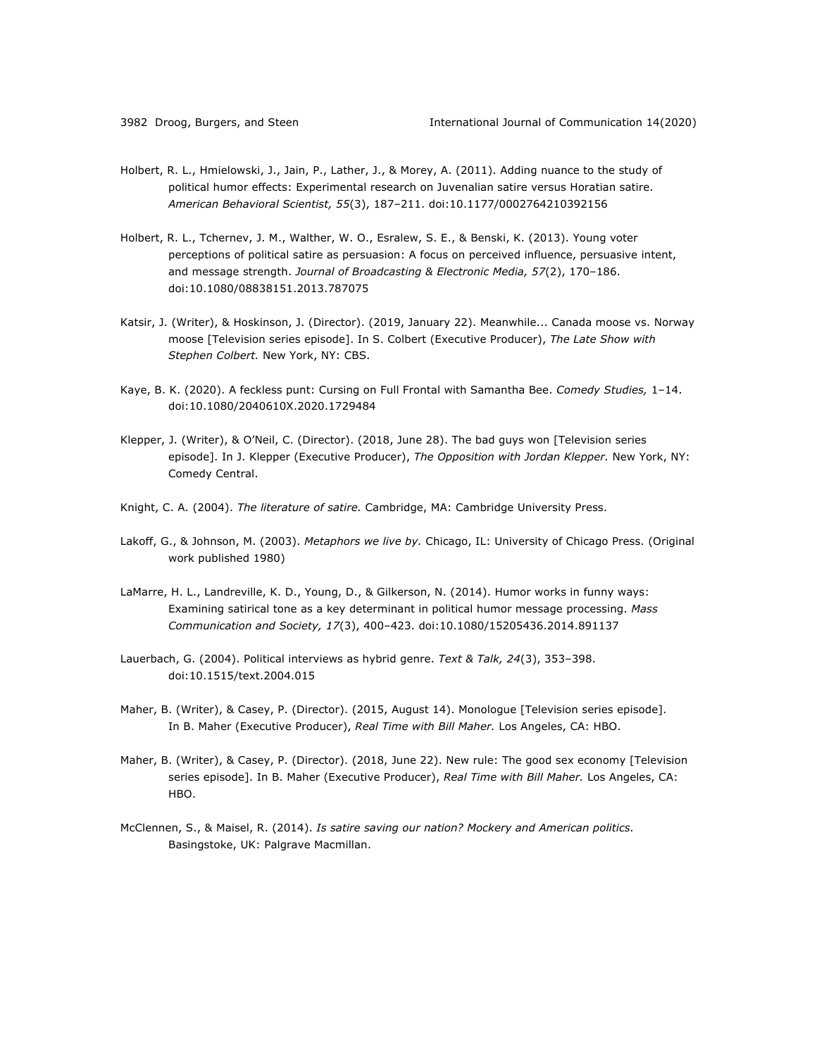- Holbert, R. L., Hmielowski, J., Jain, P., Lather, J., & Morey, A. (2011). Adding nuance to the study of political humor effects: Experimental research on Juvenalian satire versus Horatian satire. *American Behavioral Scientist, 55*(3), 187–211. doi:10.1177/0002764210392156
- Holbert, R. L., Tchernev, J. M., Walther, W. O., Esralew, S. E., & Benski, K. (2013). Young voter perceptions of political satire as persuasion: A focus on perceived influence, persuasive intent, and message strength. *Journal of Broadcasting & Electronic Media, 57*(2), 170–186. doi:10.1080/08838151.2013.787075
- Katsir, J. (Writer), & Hoskinson, J. (Director). (2019, January 22). Meanwhile... Canada moose vs. Norway moose [Television series episode]. In S. Colbert (Executive Producer), *The Late Show with Stephen Colbert.* New York, NY: CBS.
- Kaye, B. K. (2020). A feckless punt: Cursing on Full Frontal with Samantha Bee. *Comedy Studies,* 1–14. doi:10.1080/2040610X.2020.1729484
- Klepper, J. (Writer), & O'Neil, C. (Director). (2018, June 28). The bad guys won [Television series episode]. In J. Klepper (Executive Producer), *The Opposition with Jordan Klepper.* New York, NY: Comedy Central.
- Knight, C. A. (2004). *The literature of satire.* Cambridge, MA: Cambridge University Press.
- Lakoff, G., & Johnson, M. (2003). *Metaphors we live by.* Chicago, IL: University of Chicago Press. (Original work published 1980)
- LaMarre, H. L., Landreville, K. D., Young, D., & Gilkerson, N. (2014). Humor works in funny ways: Examining satirical tone as a key determinant in political humor message processing. *Mass Communication and Society, 17*(3), 400–423. doi:10.1080/15205436.2014.891137
- Lauerbach, G. (2004). Political interviews as hybrid genre. *Text & Talk, 24*(3), 353–398. doi:10.1515/text.2004.015
- Maher, B. (Writer), & Casey, P. (Director). (2015, August 14). Monologue [Television series episode]. In B. Maher (Executive Producer), *Real Time with Bill Maher.* Los Angeles, CA: HBO.
- Maher, B. (Writer), & Casey, P. (Director). (2018, June 22). New rule: The good sex economy [Television series episode]. In B. Maher (Executive Producer), *Real Time with Bill Maher.* Los Angeles, CA: HBO.
- McClennen, S., & Maisel, R. (2014). *Is satire saving our nation? Mockery and American politics.* Basingstoke, UK: Palgrave Macmillan.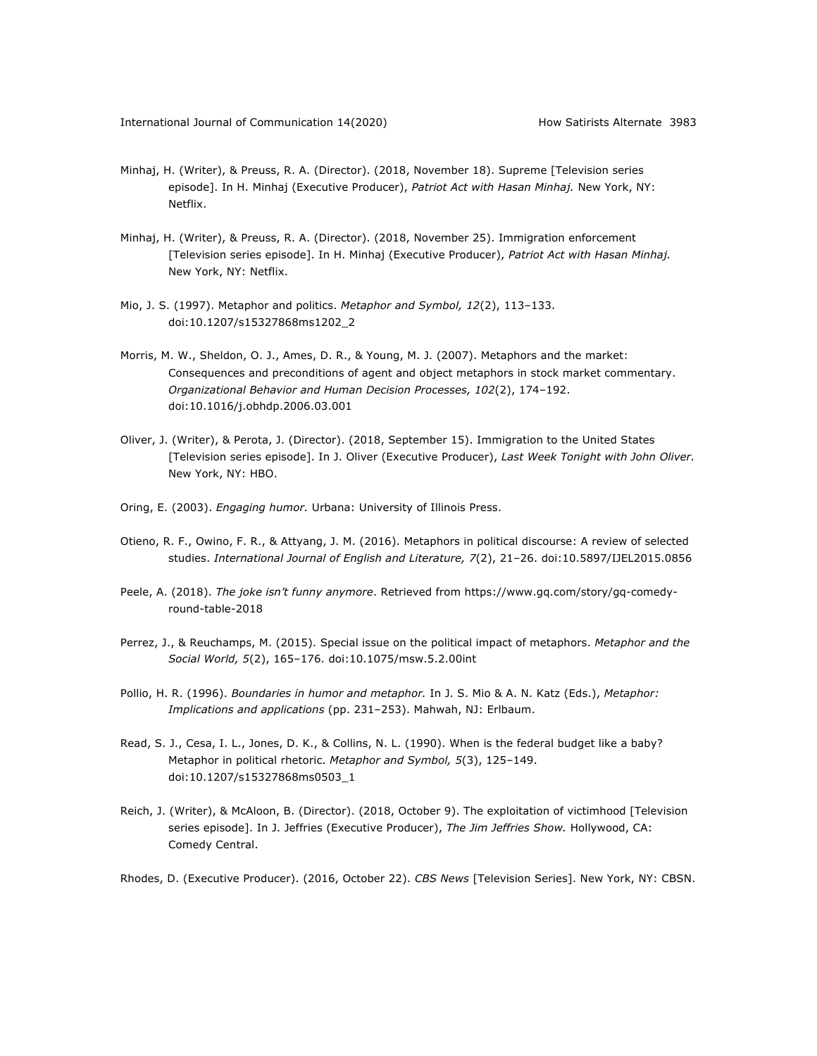- Minhaj, H. (Writer), & Preuss, R. A. (Director). (2018, November 18). Supreme [Television series episode]. In H. Minhaj (Executive Producer), *Patriot Act with Hasan Minhaj.* New York, NY: Netflix.
- Minhaj, H. (Writer), & Preuss, R. A. (Director). (2018, November 25). Immigration enforcement [Television series episode]. In H. Minhaj (Executive Producer), *Patriot Act with Hasan Minhaj.* New York, NY: Netflix.
- Mio, J. S. (1997). Metaphor and politics. *Metaphor and Symbol, 12*(2), 113–133. doi:10.1207/s15327868ms1202\_2
- Morris, M. W., Sheldon, O. J., Ames, D. R., & Young, M. J. (2007). Metaphors and the market: Consequences and preconditions of agent and object metaphors in stock market commentary. *Organizational Behavior and Human Decision Processes, 102*(2), 174–192. doi:10.1016/j.obhdp.2006.03.001
- Oliver, J. (Writer), & Perota, J. (Director). (2018, September 15). Immigration to the United States [Television series episode]. In J. Oliver (Executive Producer), *Last Week Tonight with John Oliver.* New York, NY: HBO.
- Oring, E. (2003). *Engaging humor.* Urbana: University of Illinois Press.
- Otieno, R. F., Owino, F. R., & Attyang, J. M. (2016). Metaphors in political discourse: A review of selected studies. *International Journal of English and Literature, 7*(2), 21–26. doi:10.5897/IJEL2015.0856
- Peele, A. (2018). *The joke isn't funny anymore*. Retrieved from https://www.gq.com/story/gq-comedyround-table-2018
- Perrez, J., & Reuchamps, M. (2015). Special issue on the political impact of metaphors. *Metaphor and the Social World, 5*(2), 165–176. doi:10.1075/msw.5.2.00int
- Pollio, H. R. (1996). *Boundaries in humor and metaphor.* In J. S. Mio & A. N. Katz (Eds.), *Metaphor: Implications and applications* (pp. 231–253). Mahwah, NJ: Erlbaum.
- Read, S. J., Cesa, I. L., Jones, D. K., & Collins, N. L. (1990). When is the federal budget like a baby? Metaphor in political rhetoric. *Metaphor and Symbol, 5*(3), 125–149. doi:10.1207/s15327868ms0503\_1
- Reich, J. (Writer), & McAloon, B. (Director). (2018, October 9). The exploitation of victimhood [Television series episode]. In J. Jeffries (Executive Producer), *The Jim Jeffries Show.* Hollywood, CA: Comedy Central.
- Rhodes, D. (Executive Producer). (2016, October 22). *CBS News* [Television Series]. New York, NY: CBSN.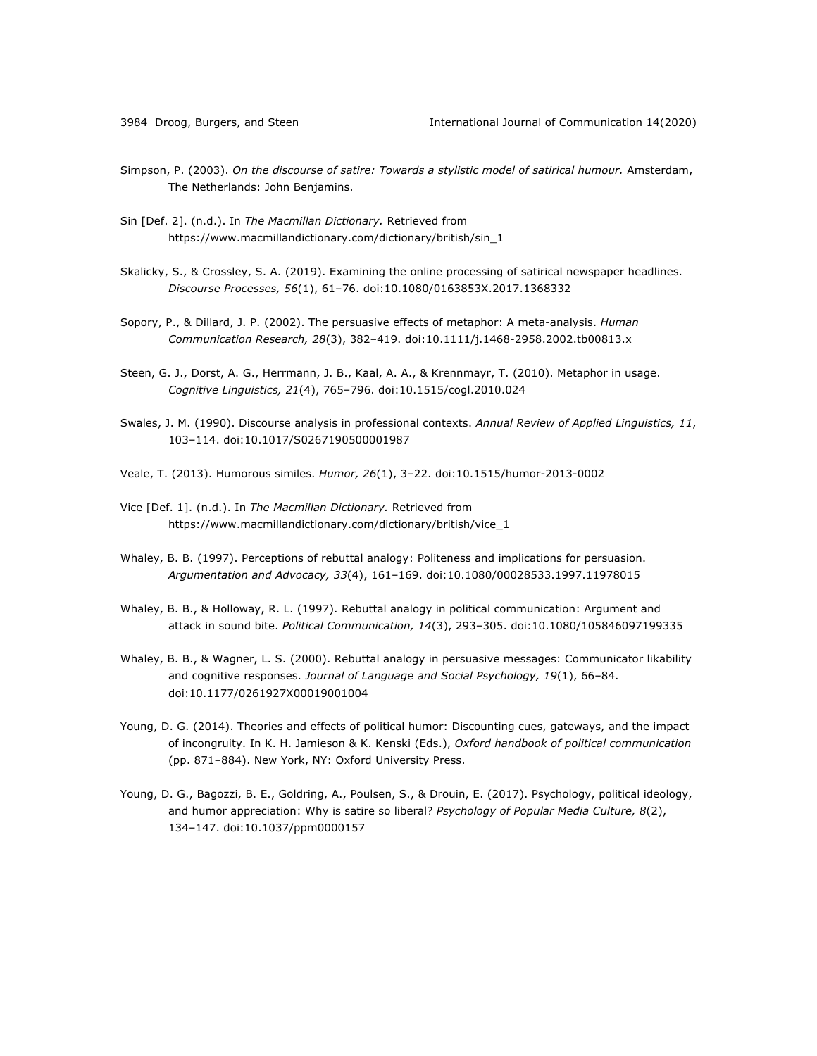- Simpson, P. (2003). *On the discourse of satire: Towards a stylistic model of satirical humour.* Amsterdam, The Netherlands: John Benjamins.
- Sin [Def. 2]. (n.d.). In *The Macmillan Dictionary.* Retrieved from https://www.macmillandictionary.com/dictionary/british/sin\_1
- Skalicky, S., & Crossley, S. A. (2019). Examining the online processing of satirical newspaper headlines. *Discourse Processes, 56*(1), 61–76. doi:10.1080/0163853X.2017.1368332
- Sopory, P., & Dillard, J. P. (2002). The persuasive effects of metaphor: A meta-analysis. *Human Communication Research, 28*(3), 382–419. doi:10.1111/j.1468-2958.2002.tb00813.x
- Steen, G. J., Dorst, A. G., Herrmann, J. B., Kaal, A. A., & Krennmayr, T. (2010). Metaphor in usage. *Cognitive Linguistics, 21*(4), 765–796. doi:10.1515/cogl.2010.024
- Swales, J. M. (1990). Discourse analysis in professional contexts. *Annual Review of Applied Linguistics, 11*, 103–114. doi:10.1017/S0267190500001987
- Veale, T. (2013). Humorous similes. *Humor, 26*(1), 3–22. doi:10.1515/humor-2013-0002
- Vice [Def. 1]. (n.d.). In *The Macmillan Dictionary.* Retrieved from https://www.macmillandictionary.com/dictionary/british/vice\_1
- Whaley, B. B. (1997). Perceptions of rebuttal analogy: Politeness and implications for persuasion. *Argumentation and Advocacy, 33*(4), 161–169. doi:10.1080/00028533.1997.11978015
- Whaley, B. B., & Holloway, R. L. (1997). Rebuttal analogy in political communication: Argument and attack in sound bite. *Political Communication, 14*(3), 293–305. doi:10.1080/105846097199335
- Whaley, B. B., & Wagner, L. S. (2000). Rebuttal analogy in persuasive messages: Communicator likability and cognitive responses. *Journal of Language and Social Psychology, 19*(1), 66–84. doi:10.1177/0261927X00019001004
- Young, D. G. (2014). Theories and effects of political humor: Discounting cues, gateways, and the impact of incongruity. In K. H. Jamieson & K. Kenski (Eds.), *Oxford handbook of political communication*  (pp. 871–884). New York, NY: Oxford University Press.
- Young, D. G., Bagozzi, B. E., Goldring, A., Poulsen, S., & Drouin, E. (2017). Psychology, political ideology, and humor appreciation: Why is satire so liberal? *Psychology of Popular Media Culture, 8*(2), 134–147. doi:10.1037/ppm0000157